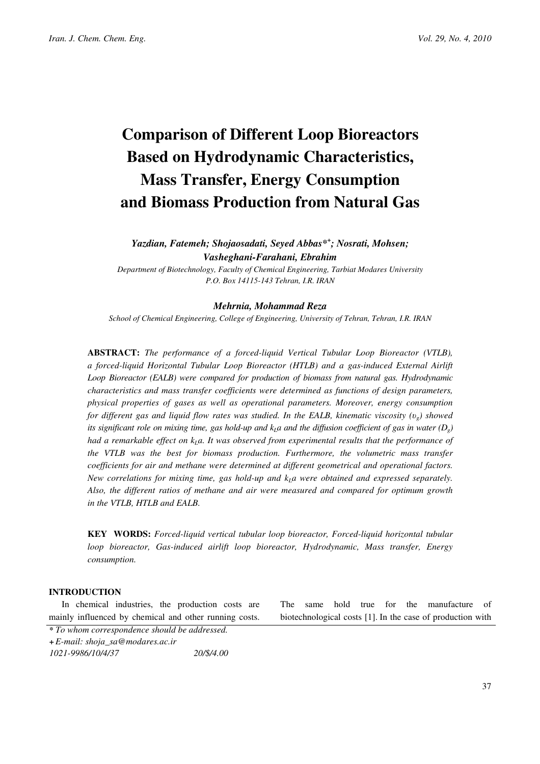# Comparison of Different Loop Bioreactors Based on Hydrodynamic Characteristics, Mass Transfer, Energy Consumption and Biomass Production from Natural Gas

Yazdian, Fatemeh; Shojaosadati, Seyed Abbas\*<sup>+</sup> ; Nosrati, Mohsen; Vasheghani-Farahani, Ebrahim

Department of Biotechnology, Faculty of Chemical Engineering, Tarbiat Modares University P.O. Box 14115-143 Tehran, I.R. IRAN

## Mehrnia, Mohammad Reza

School of Chemical Engineering, College of Engineering, University of Tehran, Tehran, I.R. IRAN

ABSTRACT: The performance of a forced-liquid Vertical Tubular Loop Bioreactor (VTLB), a forced-liquid Horizontal Tubular Loop Bioreactor (HTLB) and a gas-induced External Airlift Loop Bioreactor (EALB) were compared for production of biomass from natural gas. Hydrodynamic characteristics and mass transfer coefficients were determined as functions of design parameters, physical properties of gases as well as operational parameters. Moreover, energy consumption for different gas and liquid flow rates was studied. In the EALB, kinematic viscosity  $(v_0)$  showed its significant role on mixing time, gas hold-up and  $k_1a$  and the diffusion coefficient of gas in water ( $D<sub>o</sub>$ ) had a remarkable effect on  $k_1a$ . It was observed from experimental results that the performance of the VTLB was the best for biomass production. Furthermore, the volumetric mass transfer coefficients for air and methane were determined at different geometrical and operational factors. New correlations for mixing time, gas hold-up and  $k<sub>L</sub>a$  were obtained and expressed separately. Also, the different ratios of methane and air were measured and compared for optimum growth in the VTLB, HTLB and EALB.

KEY WORDS: Forced-liquid vertical tubular loop bioreactor, Forced-liquid horizontal tubular loop bioreactor, Gas-induced airlift loop bioreactor, Hydrodynamic, Mass transfer, Energy consumption.

# **INTRODUCTION**

In chemical industries, the production costs are mainly influenced by chemical and other running costs.

The same hold true for the manufacture of biotechnological costs [1]. In the case of production with

<sup>\*</sup> To whom correspondence should be addressed.

<sup>+</sup> E-mail: shoja\_sa@modares.ac.ir

<sup>1021-9986/10/4/37</sup> 20/\$/4.00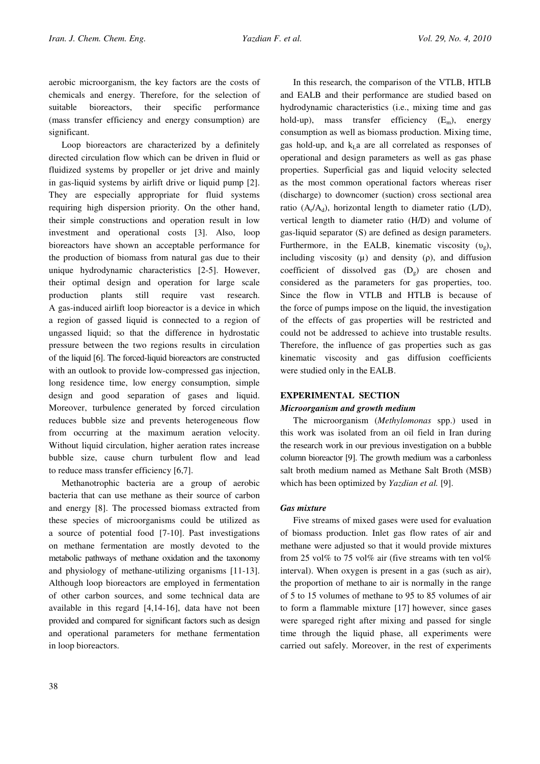aerobic microorganism, the key factors are the costs of chemicals and energy. Therefore, for the selection of suitable bioreactors, their specific performance (mass transfer efficiency and energy consumption) are significant.

Loop bioreactors are characterized by a definitely directed circulation flow which can be driven in fluid or fluidized systems by propeller or jet drive and mainly in gas-liquid systems by airlift drive or liquid pump [2]. They are especially appropriate for fluid systems requiring high dispersion priority. On the other hand, their simple constructions and operation result in low investment and operational costs [3]. Also, loop bioreactors have shown an acceptable performance for the production of biomass from natural gas due to their unique hydrodynamic characteristics [2-5]. However, their optimal design and operation for large scale production plants still require vast research. A gas-induced airlift loop bioreactor is a device in which a region of gassed liquid is connected to a region of ungassed liquid; so that the difference in hydrostatic pressure between the two regions results in circulation of the liquid [6]. The forced-liquid bioreactors are constructed with an outlook to provide low-compressed gas injection, long residence time, low energy consumption, simple design and good separation of gases and liquid. Moreover, turbulence generated by forced circulation reduces bubble size and prevents heterogeneous flow from occurring at the maximum aeration velocity. Without liquid circulation, higher aeration rates increase bubble size, cause churn turbulent flow and lead to reduce mass transfer efficiency [6,7].

Methanotrophic bacteria are a group of aerobic bacteria that can use methane as their source of carbon and energy [8]. The processed biomass extracted from these species of microorganisms could be utilized as a source of potential food [7-10]. Past investigations on methane fermentation are mostly devoted to the metabolic pathways of methane oxidation and the taxonomy and physiology of methane-utilizing organisms [11-13]. Although loop bioreactors are employed in fermentation of other carbon sources, and some technical data are available in this regard [4,14-16], data have not been provided and compared for significant factors such as design and operational parameters for methane fermentation in loop bioreactors.

In this research, the comparison of the VTLB, HTLB and EALB and their performance are studied based on hydrodynamic characteristics (i.e., mixing time and gas hold-up), mass transfer efficiency  $(E_m)$ , energy consumption as well as biomass production. Mixing time, gas hold-up, and  $k<sub>L</sub>$  are all correlated as responses of operational and design parameters as well as gas phase properties. Superficial gas and liquid velocity selected as the most common operational factors whereas riser (discharge) to downcomer (suction) cross sectional area ratio  $(A_r/A_d)$ , horizontal length to diameter ratio (L/D), vertical length to diameter ratio (H/D) and volume of gas-liquid separator (S) are defined as design parameters. Furthermore, in the EALB, kinematic viscosity  $(v_0)$ , including viscosity  $(\mu)$  and density  $(\rho)$ , and diffusion coefficient of dissolved gas  $(D<sub>g</sub>)$  are chosen and considered as the parameters for gas properties, too. Since the flow in VTLB and HTLB is because of the force of pumps impose on the liquid, the investigation of the effects of gas properties will be restricted and could not be addressed to achieve into trustable results. Therefore, the influence of gas properties such as gas kinematic viscosity and gas diffusion coefficients were studied only in the EALB.

# EXPERIMENTAL SECTION

# Microorganism and growth medium

The microorganism (Methylomonas spp.) used in this work was isolated from an oil field in Iran during the research work in our previous investigation on a bubble column bioreactor [9]. The growth medium was a carbonless salt broth medium named as Methane Salt Broth (MSB) which has been optimized by *Yazdian et al.* [9].

# Gas mixture

Five streams of mixed gases were used for evaluation of biomass production. Inlet gas flow rates of air and methane were adjusted so that it would provide mixtures from 25 vol% to 75 vol% air (five streams with ten vol% interval). When oxygen is present in a gas (such as air), the proportion of methane to air is normally in the range of 5 to 15 volumes of methane to 95 to 85 volumes of air to form a flammable mixture [17] however, since gases were spareged right after mixing and passed for single time through the liquid phase, all experiments were carried out safely. Moreover, in the rest of experiments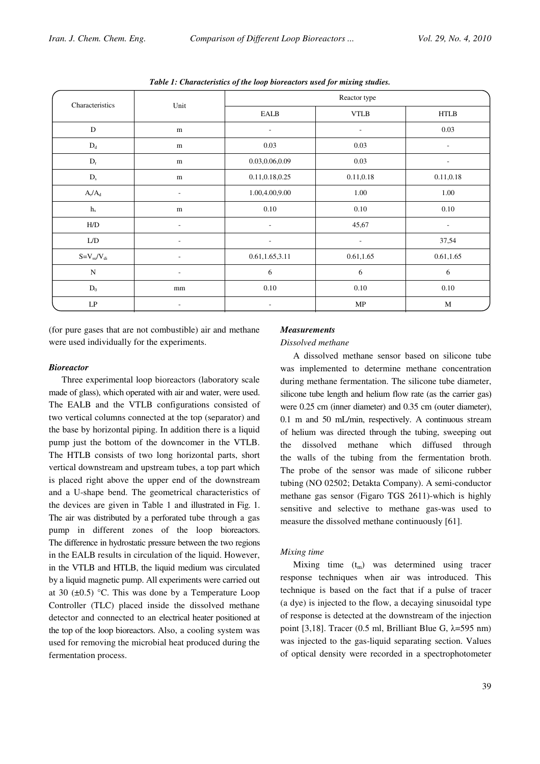| Characteristics           | Unit                     | Reactor type             |                          |                          |  |
|---------------------------|--------------------------|--------------------------|--------------------------|--------------------------|--|
|                           |                          | EALB                     | <b>VTLB</b>              | <b>HTLB</b>              |  |
| ${\bf D}$                 | ${\rm m}$                | $\overline{\phantom{a}}$ | $\overline{\phantom{a}}$ | 0.03                     |  |
| $\mathbf{D}_\mathrm{d}$   | m                        | 0.03                     | 0.03                     | $\overline{\phantom{a}}$ |  |
| $\mathbf{D}_{\mathrm{r}}$ | ${\rm m}$                | 0.03,0.06,0.09           | 0.03                     | $\overline{\phantom{a}}$ |  |
| $D_{s}$                   | ${\rm m}$                | 0.11,0.18,0.25           | 0.11,0.18                | 0.11,0.18                |  |
| $A_r/A_d$                 | $\overline{\phantom{a}}$ | 1.00,4.00,9.00           | 1.00                     | 1.00                     |  |
| $\,h_{s}$                 | ${\bf m}$                | 0.10                     | 0.10                     | 0.10                     |  |
| H/D                       | $\overline{\phantom{0}}$ | $\overline{\phantom{a}}$ | 45,67                    | $\overline{\phantom{a}}$ |  |
| L/D                       | $\overline{\phantom{a}}$ | $\overline{\phantom{a}}$ | $\overline{\phantom{a}}$ | 37,54                    |  |
| $S = V_{su}/V_{di}$       | $\overline{a}$           | 0.61,1.65,3.11           | 0.61,1.65                | 0.61, 1.65               |  |
| ${\bf N}$                 | $\overline{\phantom{a}}$ | 6                        | 6                        | 6                        |  |
| $\mathbf{D}_0$            | mm                       | 0.10                     | 0.10                     | $0.10\,$                 |  |
| $\mathrm{L}\mathrm{P}$    |                          | $\overline{\phantom{a}}$ | MP                       | M                        |  |

Table 1: Characteristics of the loop bioreactors used for mixing studies.

(for pure gases that are not combustible) air and methane were used individually for the experiments.

#### **Bioreactor**

Three experimental loop bioreactors (laboratory scale made of glass), which operated with air and water, were used. The EALB and the VTLB configurations consisted of two vertical columns connected at the top (separator) and the base by horizontal piping. In addition there is a liquid pump just the bottom of the downcomer in the VTLB. The HTLB consists of two long horizontal parts, short vertical downstream and upstream tubes, a top part which is placed right above the upper end of the downstream and a U-shape bend. The geometrical characteristics of the devices are given in Table 1 and illustrated in Fig. 1. The air was distributed by a perforated tube through a gas pump in different zones of the loop bioreactors. The difference in hydrostatic pressure between the two regions in the EALB results in circulation of the liquid. However, in the VTLB and HTLB, the liquid medium was circulated by a liquid magnetic pump. All experiments were carried out at 30  $(\pm 0.5)$  °C. This was done by a Temperature Loop Controller (TLC) placed inside the dissolved methane detector and connected to an electrical heater positioned at the top of the loop bioreactors. Also, a cooling system was used for removing the microbial heat produced during the fermentation process.

#### **Measurements**

#### Dissolved methane

A dissolved methane sensor based on silicone tube was implemented to determine methane concentration during methane fermentation. The silicone tube diameter, silicone tube length and helium flow rate (as the carrier gas) were 0.25 cm (inner diameter) and 0.35 cm (outer diameter), 0.1 m and 50 mL/min, respectively. A continuous stream of helium was directed through the tubing, sweeping out the dissolved methane which diffused through the walls of the tubing from the fermentation broth. The probe of the sensor was made of silicone rubber tubing (NO 02502; Detakta Company). A semi-conductor methane gas sensor (Figaro TGS 2611)-which is highly sensitive and selective to methane gas-was used to measure the dissolved methane continuously [61].

## Mixing time

Mixing time  $(t_m)$  was determined using tracer response techniques when air was introduced. This technique is based on the fact that if a pulse of tracer (a dye) is injected to the flow, a decaying sinusoidal type of response is detected at the downstream of the injection point [3,18]. Tracer (0.5 ml, Brilliant Blue G,  $\lambda$ =595 nm) was injected to the gas-liquid separating section. Values of optical density were recorded in a spectrophotometer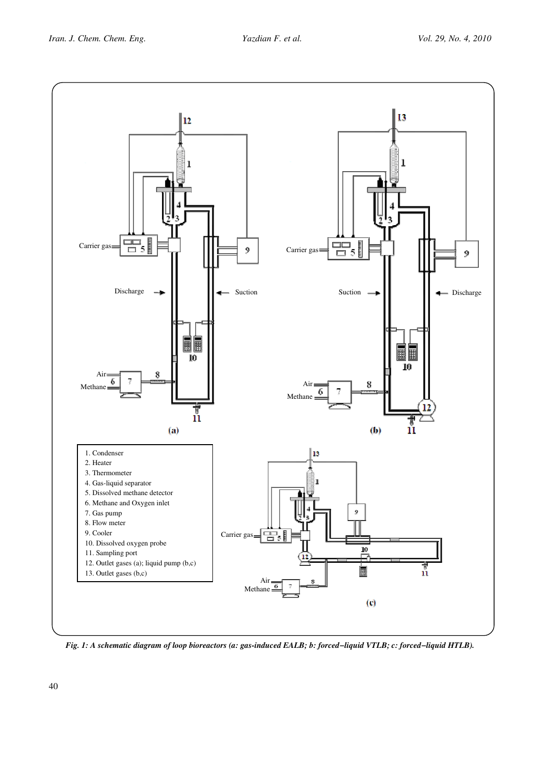

Fig. 1: A schematic diagram of loop bioreactors (a: gas-induced EALB; b: forced−liquid VTLB; c: forced−liquid HTLB).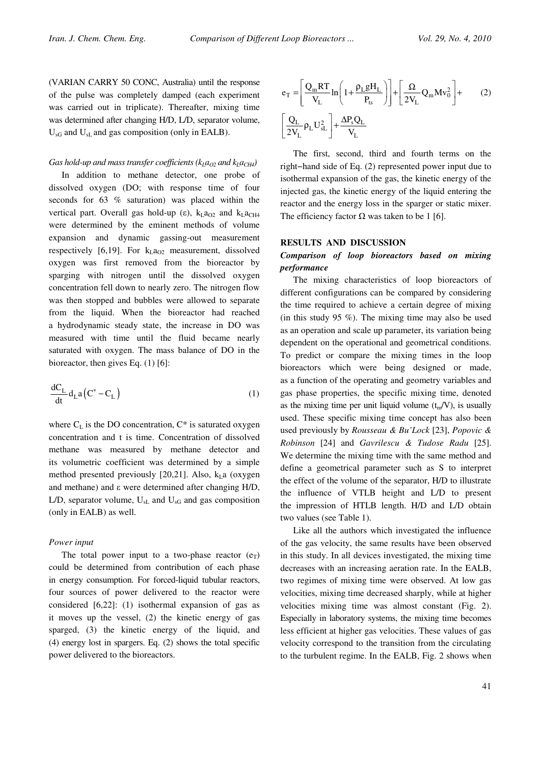(VARIAN CARRY 50 CONC, Australia) until the response of the pulse was completely damped (each experiment was carried out in triplicate). Thereafter, mixing time was determined after changing H/D, L/D, separator volume,  $U_{\rm sG}$  and  $U_{\rm sL}$  and gas composition (only in EALB).

#### Gas hold-up and mass transfer coefficients ( $k_I a_{O2}$  and  $k_I a_{CH4}$ )

In addition to methane detector, one probe of dissolved oxygen (DO; with response time of four seconds for 63 % saturation) was placed within the vertical part. Overall gas hold-up ( $\varepsilon$ ),  $k_L a_{Q2}$  and  $k_L a_{CH4}$ were determined by the eminent methods of volume expansion and dynamic gassing-out measurement respectively [6,19]. For  $k<sub>L</sub>a<sub>O2</sub>$  measurement, dissolved oxygen was first removed from the bioreactor by sparging with nitrogen until the dissolved oxygen concentration fell down to nearly zero. The nitrogen flow was then stopped and bubbles were allowed to separate from the liquid. When the bioreactor had reached a hydrodynamic steady state, the increase in DO was measured with time until the fluid became nearly saturated with oxygen. The mass balance of DO in the bioreactor, then gives Eq. (1) [6]:

$$
\frac{dC_L}{dt}d_L a(C^* - C_L)
$$
\n(1)

where  $C_{\text{L}}$  is the DO concentration,  $C^*$  is saturated oxygen concentration and t is time. Concentration of dissolved methane was measured by methane detector and its volumetric coefficient was determined by a simple method presented previously [20,21]. Also,  $k<sub>L</sub>$ a (oxygen and methane) and  $\varepsilon$  were determined after changing H/D, L/D, separator volume,  $U_{sL}$  and  $U_{sG}$  and gas composition (only in EALB) as well.

## Power input

The total power input to a two-phase reactor  $(e_T)$ could be determined from contribution of each phase in energy consumption. For forced-liquid tubular reactors, four sources of power delivered to the reactor were considered [6,22]: (1) isothermal expansion of gas as it moves up the vessel, (2) the kinetic energy of gas sparged, (3) the kinetic energy of the liquid, and (4) energy lost in spargers. Eq. (2) shows the total specific power delivered to the bioreactors.

$$
e_T = \left[\frac{Q_m RT}{V_L} \ln\left(1 + \frac{\rho_L g H_L}{P_{ts}}\right)\right] + \left[\frac{\Omega}{2V_L} Q_m M v_0^2\right] + (2)
$$

$$
\left[\frac{Q_L}{2V_L} \rho_L U_{sL}^2\right] + \frac{\Delta P_s Q_L}{V_L}
$$

The first, second, third and fourth terms on the right−hand side of Eq. (2) represented power input due to isothermal expansion of the gas, the kinetic energy of the injected gas, the kinetic energy of the liquid entering the reactor and the energy loss in the sparger or static mixer. The efficiency factor  $\Omega$  was taken to be 1 [6].

## RESULTS AND DISCUSSION

# Comparison of loop bioreactors based on mixing performance

The mixing characteristics of loop bioreactors of different configurations can be compared by considering the time required to achieve a certain degree of mixing (in this study 95  $\%$ ). The mixing time may also be used as an operation and scale up parameter, its variation being dependent on the operational and geometrical conditions. To predict or compare the mixing times in the loop bioreactors which were being designed or made, as a function of the operating and geometry variables and gas phase properties, the specific mixing time, denoted as the mixing time per unit liquid volume  $(t_m/V)$ , is usually used. These specific mixing time concept has also been used previously by Rousseau & Bu'Lock [23], Popovic & Robinson [24] and Gavrilescu & Tudose Radu [25]. We determine the mixing time with the same method and define a geometrical parameter such as S to interpret the effect of the volume of the separator, H/D to illustrate the influence of VTLB height and L/D to present the impression of HTLB length. H/D and L/D obtain two values (see Table 1).

Like all the authors which investigated the influence of the gas velocity, the same results have been observed in this study. In all devices investigated, the mixing time decreases with an increasing aeration rate. In the EALB, two regimes of mixing time were observed. At low gas velocities, mixing time decreased sharply, while at higher velocities mixing time was almost constant (Fig. 2). Especially in laboratory systems, the mixing time becomes less efficient at higher gas velocities. These values of gas velocity correspond to the transition from the circulating to the turbulent regime. In the EALB, Fig. 2 shows when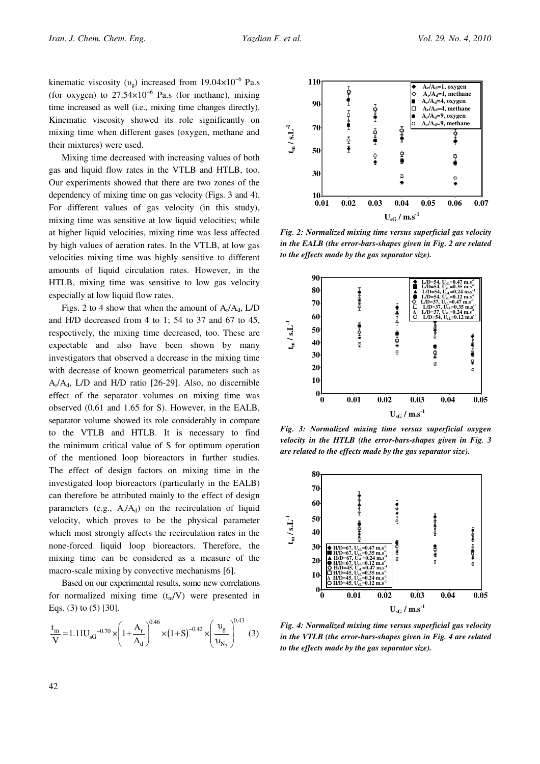kinematic viscosity ( $v_g$ ) increased from 19.04×10<sup>-6</sup> Pa.s (for oxygen) to  $27.54\times10^{-6}$  Pa.s (for methane), mixing time increased as well (i.e., mixing time changes directly). Kinematic viscosity showed its role significantly on mixing time when different gases (oxygen, methane and their mixtures) were used.

Mixing time decreased with increasing values of both gas and liquid flow rates in the VTLB and HTLB, too. Our experiments showed that there are two zones of the dependency of mixing time on gas velocity (Figs. 3 and 4). For different values of gas velocity (in this study), mixing time was sensitive at low liquid velocities; while at higher liquid velocities, mixing time was less affected by high values of aeration rates. In the VTLB, at low gas velocities mixing time was highly sensitive to different amounts of liquid circulation rates. However, in the HTLB, mixing time was sensitive to low gas velocity especially at low liquid flow rates.

Figs. 2 to 4 show that when the amount of  $A_r/A_d$ , L/D and H/D decreased from 4 to 1; 54 to 37 and 67 to 45, respectively, the mixing time decreased, too. These are expectable and also have been shown by many investigators that observed a decrease in the mixing time with decrease of known geometrical parameters such as  $A_r/A_d$ , L/D and H/D ratio [26-29]. Also, no discernible effect of the separator volumes on mixing time was observed (0.61 and 1.65 for S). However, in the EALB, separator volume showed its role considerably in compare to the VTLB and HTLB. It is necessary to find the minimum critical value of S for optimum operation of the mentioned loop bioreactors in further studies. The effect of design factors on mixing time in the investigated loop bioreactors (particularly in the EALB) can therefore be attributed mainly to the effect of design parameters (e.g.,  $A_r/A_d$ ) on the recirculation of liquid velocity, which proves to be the physical parameter which most strongly affects the recirculation rates in the none-forced liquid loop bioreactors. Therefore, the mixing time can be considered as a measure of the macro-scale mixing by convective mechanisms [6].

Based on our experimental results, some new correlations for normalized mixing time  $(t_m/V)$  were presented in Eqs. (3) to (5) [30].

$$
\frac{t_{\rm m}}{V} = 1.11U_{\rm sG}^{-0.70} \times \left(1 + \frac{A_{\rm r}}{A_{\rm d}}\right)^{0.46} \times \left(1 + S\right)^{-0.42} \times \left(\frac{v_{\rm g}}{v_{\rm N_2}}\right)^{0.43} (3)
$$



Fig. 2: Normalized mixing time versus superficial gas velocity in the EALB (the error-bars-shapes given in Fig. 2 are related to the effects made by the gas separator size).



Fig. 3: Normalized mixing time versus superficial oxygen velocity in the HTLB (the error-bars-shapes given in Fig. 3 are related to the effects made by the gas separator size).



Fig. 4: Normalized mixing time versus superficial gas velocity in the VTLB (the error-bars-shapes given in Fig. 4 are related to the effects made by the gas separator size).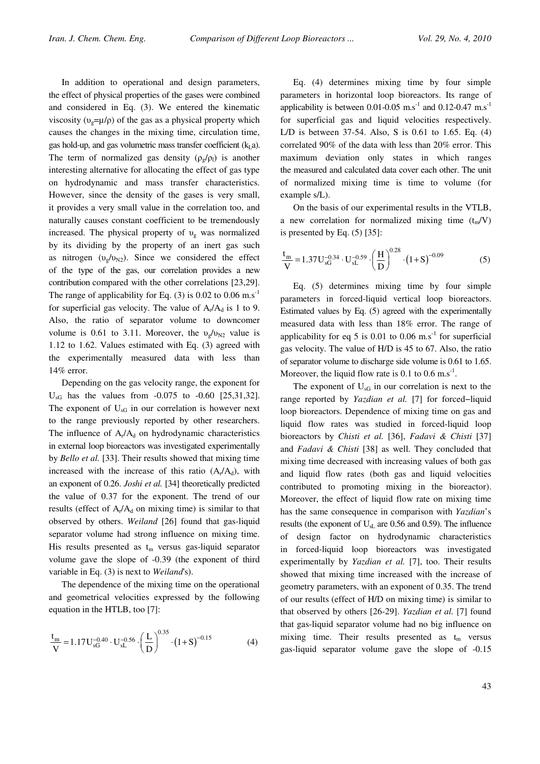In addition to operational and design parameters, the effect of physical properties of the gases were combined and considered in Eq. (3). We entered the kinematic viscosity ( $v_g = \mu/\rho$ ) of the gas as a physical property which causes the changes in the mixing time, circulation time, gas hold-up, and gas volumetric mass transfer coefficient  $(k_1a)$ . The term of normalized gas density  $(\rho_g/\rho_l)$  is another interesting alternative for allocating the effect of gas type on hydrodynamic and mass transfer characteristics. However, since the density of the gases is very small, it provides a very small value in the correlation too, and naturally causes constant coefficient to be tremendously increased. The physical property of  $v_{\rm g}$  was normalized by its dividing by the property of an inert gas such as nitrogen  $(v_g/v_{N2})$ . Since we considered the effect of the type of the gas, our correlation provides a new contribution compared with the other correlations [23,29]. The range of applicability for Eq. (3) is 0.02 to 0.06 m.s<sup>-1</sup> for superficial gas velocity. The value of  $A_r/A_d$  is 1 to 9. Also, the ratio of separator volume to downcomer volume is 0.61 to 3.11. Moreover, the  $v_o/v_{N2}$  value is 1.12 to 1.62. Values estimated with Eq. (3) agreed with the experimentally measured data with less than 14% error.

Depending on the gas velocity range, the exponent for  $U_{\rm sG}$  has the values from  $-0.075$  to  $-0.60$  [25,31,32]. The exponent of  $U_{\rm sG}$  in our correlation is however next to the range previously reported by other researchers. The influence of  $A_r/A_d$  on hydrodynamic characteristics in external loop bioreactors was investigated experimentally by Bello et al. [33]. Their results showed that mixing time increased with the increase of this ratio  $(A_r/A_d)$ , with an exponent of 0.26. Joshi et al. [34] theoretically predicted the value of 0.37 for the exponent. The trend of our results (effect of  $A_r/A_d$  on mixing time) is similar to that observed by others. Weiland [26] found that gas-liquid separator volume had strong influence on mixing time. His results presented as  $t_m$  versus gas-liquid separator volume gave the slope of -0.39 (the exponent of third variable in Eq. (3) is next to Weiland's).

The dependence of the mixing time on the operational and geometrical velocities expressed by the following equation in the HTLB, too [7]:

$$
\frac{t_m}{V} = 1.17 U_{sG}^{-0.40} \cdot U_{sL}^{-0.56} \cdot \left(\frac{L}{D}\right)^{0.35} \cdot \left(1 + S\right)^{-0.15}
$$
 (4)

Eq. (4) determines mixing time by four simple parameters in horizontal loop bioreactors. Its range of applicability is between 0.01-0.05  $\text{m.s}^{-1}$  and 0.12-0.47  $\text{m.s}^{-1}$ for superficial gas and liquid velocities respectively. L/D is between 37-54. Also, S is 0.61 to 1.65. Eq. (4) correlated 90% of the data with less than 20% error. This maximum deviation only states in which ranges the measured and calculated data cover each other. The unit of normalized mixing time is time to volume (for example s/L).

On the basis of our experimental results in the VTLB, a new correlation for normalized mixing time  $(t_m/V)$ is presented by Eq. (5) [35]:

$$
\frac{t_m}{V} = 1.37 U_{sG}^{-0.34} \cdot U_{sL}^{-0.59} \cdot \left(\frac{H}{D}\right)^{0.28} \cdot (1+S)^{-0.09}
$$
 (5)

Eq. (5) determines mixing time by four simple parameters in forced-liquid vertical loop bioreactors. Estimated values by Eq. (5) agreed with the experimentally measured data with less than 18% error. The range of applicability for eq 5 is 0.01 to 0.06 m.s<sup>-1</sup> for superficial gas velocity. The value of H/D is 45 to 67. Also, the ratio of separator volume to discharge side volume is 0.61 to 1.65. Moreover, the liquid flow rate is 0.1 to 0.6 m.s<sup>-1</sup>.

The exponent of  $U_{\rm sG}$  in our correlation is next to the range reported by Yazdian et al. [7] for forced−liquid loop bioreactors. Dependence of mixing time on gas and liquid flow rates was studied in forced-liquid loop bioreactors by Chisti et al. [36], Fadavi & Chisti [37] and Fadavi & Chisti [38] as well. They concluded that mixing time decreased with increasing values of both gas and liquid flow rates (both gas and liquid velocities contributed to promoting mixing in the bioreactor). Moreover, the effect of liquid flow rate on mixing time has the same consequence in comparison with Yazdian's results (the exponent of  $U_{sL}$  are 0.56 and 0.59). The influence of design factor on hydrodynamic characteristics in forced-liquid loop bioreactors was investigated experimentally by *Yazdian et al.* [7], too. Their results showed that mixing time increased with the increase of geometry parameters, with an exponent of 0.35. The trend of our results (effect of H/D on mixing time) is similar to that observed by others [26-29]. Yazdian et al. [7] found that gas-liquid separator volume had no big influence on mixing time. Their results presented as  $t_m$  versus gas-liquid separator volume gave the slope of -0.15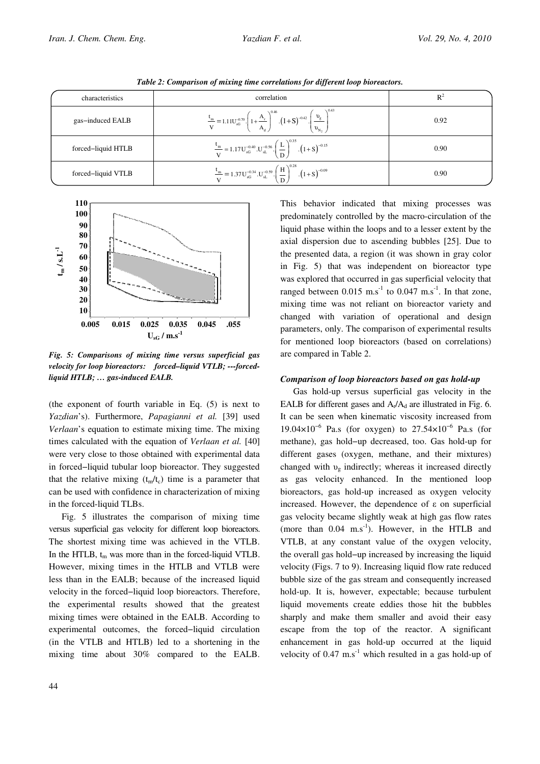| characteristics    | correlation                                                                                                                                                      | $R^2$ |
|--------------------|------------------------------------------------------------------------------------------------------------------------------------------------------------------|-------|
| gas-induced EALB   | $\frac{t_m}{V} = 1.11U_{sG}^{0.70} \cdot \left(1 + \frac{A_r}{A_a}\right)^{0.46} \cdot \left(1 + S\right)^{-0.42} \cdot \left(\frac{v_g}{v_{N_a}}\right)^{0.43}$ | 0.92  |
| forced-liquid HTLB | $\frac{t_{\rm m}}{V} = 1.17U_{\rm sG}^{-0.40} \cdot U_{\rm sL}^{-0.56} \cdot \left(\frac{L}{D}\right)^{0.35} \cdot \left(1 + S\right)^{-0.15}$                   | 0.90  |
| forced-liquid VTLB | $\frac{t_{m}}{V} = 1.37 U_{sG}^{-0.34} . U_{sL}^{-0.59} . \left(\frac{H}{D}\right)^{0.28} . (1+S)^{-0.09}$                                                       | 0.90  |

Table 2: Comparison of mixing time correlations for different loop bioreactors.



Fig. 5: Comparisons of mixing time versus superficial gas velocity for loop bioreactors: forced–liquid VTLB; ---forcedliquid HTLB; … gas-induced EALB.

(the exponent of fourth variable in Eq. (5) is next to Yazdian's). Furthermore, Papagianni et al. [39] used Verlaan's equation to estimate mixing time. The mixing times calculated with the equation of Verlaan et al. [40] were very close to those obtained with experimental data in forced−liquid tubular loop bioreactor. They suggested that the relative mixing  $(t_m/t_c)$  time is a parameter that can be used with confidence in characterization of mixing in the forced-liquid TLBs.

Fig. 5 illustrates the comparison of mixing time versus superficial gas velocity for different loop bioreactors. The shortest mixing time was achieved in the VTLB. In the HTLB,  $t_m$  was more than in the forced-liquid VTLB. However, mixing times in the HTLB and VTLB were less than in the EALB; because of the increased liquid velocity in the forced−liquid loop bioreactors. Therefore, the experimental results showed that the greatest mixing times were obtained in the EALB. According to experimental outcomes, the forced−liquid circulation (in the VTLB and HTLB) led to a shortening in the mixing time about 30% compared to the EALB. This behavior indicated that mixing processes was predominately controlled by the macro-circulation of the liquid phase within the loops and to a lesser extent by the axial dispersion due to ascending bubbles [25]. Due to the presented data, a region (it was shown in gray color in Fig. 5) that was independent on bioreactor type was explored that occurred in gas superficial velocity that ranged between 0.015 m.s<sup>-1</sup> to 0.047 m.s<sup>-1</sup>. In that zone, mixing time was not reliant on bioreactor variety and changed with variation of operational and design parameters, only. The comparison of experimental results for mentioned loop bioreactors (based on correlations) are compared in Table 2.

## Comparison of loop bioreactors based on gas hold-up

Gas hold-up versus superficial gas velocity in the EALB for different gases and  $A_r/A_d$  are illustrated in Fig. 6. It can be seen when kinematic viscosity increased from  $19.04 \times 10^{-6}$  Pa.s (for oxygen) to 27.54×10<sup>-6</sup> Pa.s (for methane), gas hold−up decreased, too. Gas hold-up for different gases (oxygen, methane, and their mixtures) changed with  $v_g$  indirectly; whereas it increased directly as gas velocity enhanced. In the mentioned loop bioreactors, gas hold-up increased as oxygen velocity increased. However, the dependence of  $\varepsilon$  on superficial gas velocity became slightly weak at high gas flow rates (more than  $0.04$  m.s<sup>-1</sup>). However, in the HTLB and VTLB, at any constant value of the oxygen velocity, the overall gas hold−up increased by increasing the liquid velocity (Figs. 7 to 9). Increasing liquid flow rate reduced bubble size of the gas stream and consequently increased hold-up. It is, however, expectable; because turbulent liquid movements create eddies those hit the bubbles sharply and make them smaller and avoid their easy escape from the top of the reactor. A significant enhancement in gas hold-up occurred at the liquid velocity of  $0.47 \text{ m.s}^{-1}$  which resulted in a gas hold-up of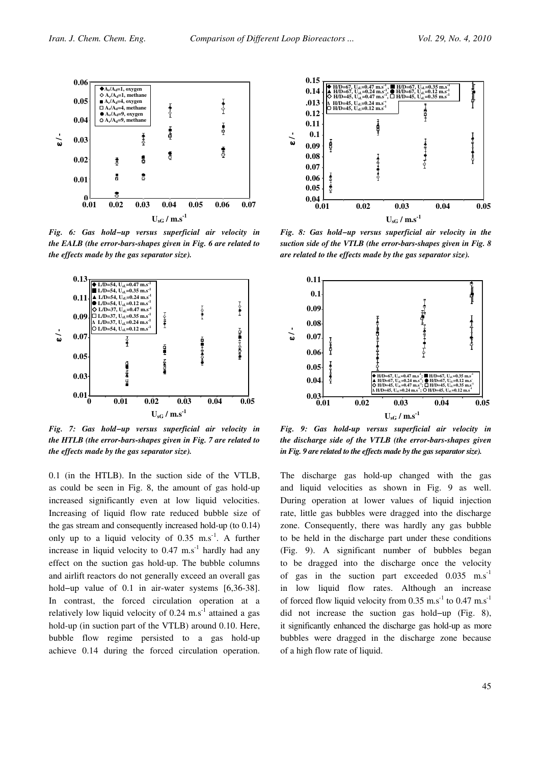

Fig. 6: Gas hold−up versus superficial air velocity in the EALB (the error-bars-shapes given in Fig. 6 are related to the effects made by the gas separator size).



Fig. 7: Gas hold−up versus superficial air velocity in the HTLB (the error-bars-shapes given in Fig. 7 are related to the effects made by the gas separator size).

0.1 (in the HTLB). In the suction side of the VTLB, as could be seen in Fig. 8, the amount of gas hold-up increased significantly even at low liquid velocities. Increasing of liquid flow rate reduced bubble size of the gas stream and consequently increased hold-up (to 0.14) only up to a liquid velocity of  $0.35$  m.s<sup>-1</sup>. A further increase in liquid velocity to  $0.47 \text{ m.s}^{-1}$  hardly had any effect on the suction gas hold-up. The bubble columns and airlift reactors do not generally exceed an overall gas hold−up value of 0.1 in air-water systems [6,36-38]. In contrast, the forced circulation operation at a relatively low liquid velocity of  $0.24 \text{ m.s}^{-1}$  attained a gas hold-up (in suction part of the VTLB) around 0.10. Here, bubble flow regime persisted to a gas hold-up achieve 0.14 during the forced circulation operation.



Fig. 8: Gas hold−up versus superficial air velocity in the suction side of the VTLB (the error-bars-shapes given in Fig. 8 are related to the effects made by the gas separator size).



Fig. 9: Gas hold-up versus superficial air velocity in the discharge side of the VTLB (the error-bars-shapes given in Fig. 9 are related to the effects made by the gas separator size).

The discharge gas hold-up changed with the gas and liquid velocities as shown in Fig. 9 as well. During operation at lower values of liquid injection rate, little gas bubbles were dragged into the discharge zone. Consequently, there was hardly any gas bubble to be held in the discharge part under these conditions (Fig. 9). A significant number of bubbles began to be dragged into the discharge once the velocity of gas in the suction part exceeded  $0.035$  m.s<sup>-1</sup> in low liquid flow rates. Although an increase of forced flow liquid velocity from 0.35  $\text{m.s}^{-1}$  to 0.47  $\text{m.s}^{-1}$ did not increase the suction gas hold−up (Fig. 8), it significantly enhanced the discharge gas hold-up as more bubbles were dragged in the discharge zone because of a high flow rate of liquid.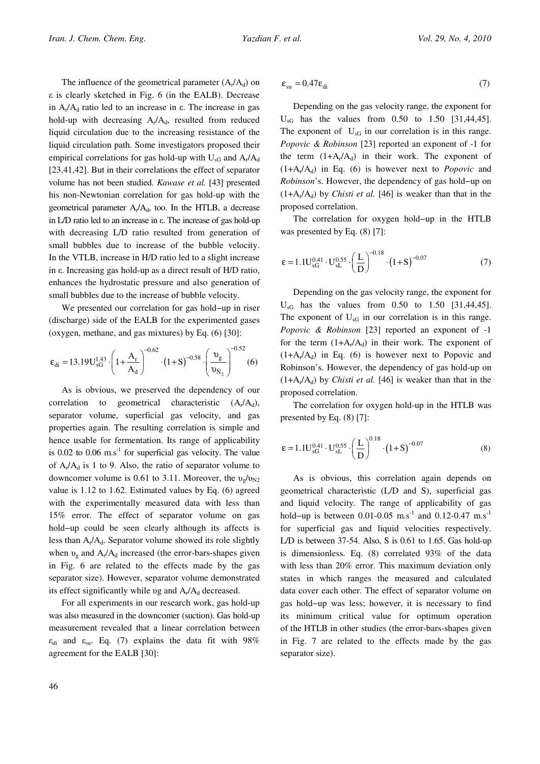The influence of the geometrical parameter  $(A_r/A_d)$  on  $\varepsilon$  is clearly sketched in Fig. 6 (in the EALB). Decrease in  $A_r/A_d$  ratio led to an increase in  $\varepsilon$ . The increase in gas hold-up with decreasing  $A_r/A_d$ , resulted from reduced liquid circulation due to the increasing resistance of the liquid circulation path. Some investigators proposed their empirical correlations for gas hold-up with  $U_{\rm sG}$  and  $A_{\rm r}/A_{\rm d}$ [23,41,42]. But in their correlations the effect of separator volume has not been studied. Kawase et al. [43] presented his non-Newtonian correlation for gas hold-up with the geometrical parameter  $A_r/A_d$ , too. In the HTLB, a decrease in  $L/D$  ratio led to an increase in  $\varepsilon$ . The increase of gas hold-up with decreasing L/D ratio resulted from generation of small bubbles due to increase of the bubble velocity. In the VTLB, increase in H/D ratio led to a slight increase in  $\varepsilon$ . Increasing gas hold-up as a direct result of H/D ratio, enhances the hydrostatic pressure and also generation of small bubbles due to the increase of bubble velocity.

We presented our correlation for gas hold−up in riser (discharge) side of the EALB for the experimented gases (oxygen, methane, and gas mixtures) by Eq. (6) [30]:

$$
\varepsilon_{di} = 13.19 U_{sG}^{1.43} \cdot \left( 1 + \frac{A_r}{A_d} \right)^{-0.62} \cdot \left( 1 + S \right)^{-0.58} \cdot \left( \frac{\nu_g}{\nu_{N_2}} \right)^{-0.52} (6)
$$

As is obvious, we preserved the dependency of our correlation to geometrical characteristic  $(A_r/A_d)$ , separator volume, superficial gas velocity, and gas properties again. The resulting correlation is simple and hence usable for fermentation. Its range of applicability is  $0.02$  to  $0.06$  m.s<sup>-1</sup> for superficial gas velocity. The value of  $A_r/A_d$  is 1 to 9. Also, the ratio of separator volume to downcomer volume is 0.61 to 3.11. Moreover, the  $v_{\rm g}/v_{\rm N2}$ value is 1.12 to 1.62. Estimated values by Eq. (6) agreed with the experimentally measured data with less than 15% error. The effect of separator volume on gas hold−up could be seen clearly although its affects is less than  $A_r/A_d$ . Separator volume showed its role slightly when  $v_{\rm g}$  and  $A_{\rm r}/A_{\rm d}$  increased (the error-bars-shapes given in Fig. 6 are related to the effects made by the gas separator size). However, separator volume demonstrated its effect significantly while vg and  $A_r/A_d$  decreased.

For all experiments in our research work, gas hold-up was also measured in the downcomer (suction). Gas hold-up measurement revealed that a linear correlation between  $\varepsilon_{di}$  and  $\varepsilon_{su}$ . Eq. (7) explains the data fit with 98% agreement for the EALB [30]:

$$
\varepsilon_{\rm su} = 0.47 \varepsilon_{\rm di} \tag{7}
$$

Depending on the gas velocity range, the exponent for  $U_{\rm sG}$  has the values from 0.50 to 1.50 [31,44,45]. The exponent of  $U_{\rm sG}$  in our correlation is in this range. Popovic & Robinson [23] reported an exponent of -1 for the term  $(1+A_r/A_d)$  in their work. The exponent of  $(1+A_r/A_d)$  in Eq. (6) is however next to *Popovic* and Robinson's. However, the dependency of gas hold−up on  $(1+A_r/A_d)$  by *Chisti et al.* [46] is weaker than that in the proposed correlation.

The correlation for oxygen hold−up in the HTLB was presented by Eq. (8) [7]:

$$
\varepsilon = 1.1U_{\rm sG}^{0.41} \cdot U_{\rm sL}^{0.55} \cdot \left(\frac{L}{D}\right)^{-0.18} \cdot (1+S)^{-0.07} \tag{7}
$$

Depending on the gas velocity range, the exponent for  $U_{\rm sG}$  has the values from 0.50 to 1.50 [31,44,45]. The exponent of  $U_{\rm sG}$  in our correlation is in this range. Popovic & Robinson [23] reported an exponent of -1 for the term  $(1+A_r/A_d)$  in their work. The exponent of  $(1+A_r/A_d)$  in Eq. (6) is however next to Popovic and Robinson's. However, the dependency of gas hold-up on  $(1+A_r/A_d)$  by *Chisti et al.* [46] is weaker than that in the proposed correlation.

The correlation for oxygen hold-up in the HTLB was presented by Eq. (8) [7]:

$$
\varepsilon = 1.1U_{\rm sG}^{0.41} \cdot U_{\rm sL}^{0.55} \cdot \left(\frac{L}{D}\right)^{0.18} \cdot \left(1 + S\right)^{-0.07}
$$
 (8)

As is obvious, this correlation again depends on geometrical characteristic (L/D and S), superficial gas and liquid velocity. The range of applicability of gas hold–up is between 0.01-0.05 m.s<sup>-1</sup> and 0.12-0.47 m.s<sup>-1</sup> for superficial gas and liquid velocities respectively. L/D is between 37-54. Also, S is 0.61 to 1.65. Gas hold-up is dimensionless. Eq. (8) correlated 93% of the data with less than 20% error. This maximum deviation only states in which ranges the measured and calculated data cover each other. The effect of separator volume on gas hold−up was less; however, it is necessary to find its minimum critical value for optimum operation of the HTLB in other studies (the error-bars-shapes given in Fig. 7 are related to the effects made by the gas separator size).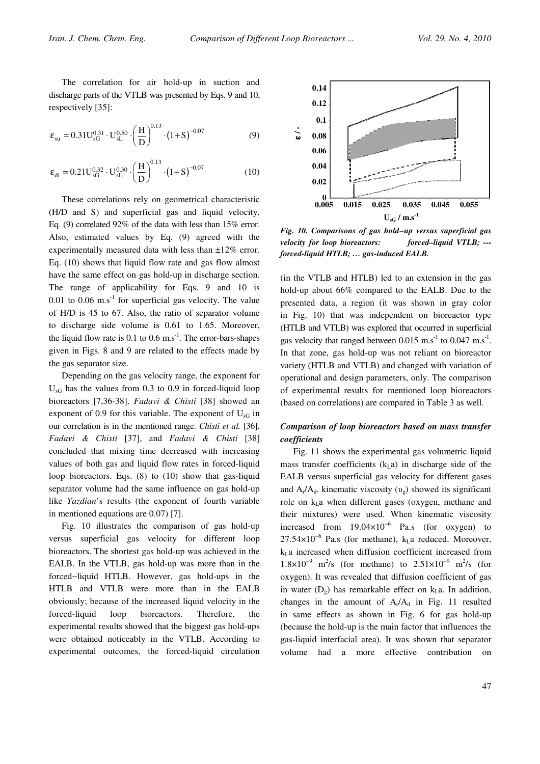The correlation for air hold-up in suction and discharge parts of the VTLB was presented by Eqs. 9 and 10, respectively [35]:

$$
\varepsilon_{su} = 0.31 U_{sG}^{0.31} \cdot U_{sL}^{0.50} \cdot \left(\frac{H}{D}\right)^{0.13} \cdot \left(1 + S\right)^{-0.07}
$$
 (9)

$$
\varepsilon_{di} = 0.21 U_{sG}^{0.32} \cdot U_{sL}^{0.30} \cdot \left(\frac{H}{D}\right)^{0.13} \cdot \left(1 + S\right)^{-0.07}
$$
 (10)

These correlations rely on geometrical characteristic (H/D and S) and superficial gas and liquid velocity. Eq. (9) correlated 92% of the data with less than 15% error. Also, estimated values by Eq. (9) agreed with the experimentally measured data with less than ±12% error. Eq. (10) shows that liquid flow rate and gas flow almost have the same effect on gas hold-up in discharge section. The range of applicability for Eqs. 9 and 10 is 0.01 to 0.06  $\text{m.s}^{-1}$  for superficial gas velocity. The value of H/D is 45 to 67. Also, the ratio of separator volume to discharge side volume is 0.61 to 1.65. Moreover, the liquid flow rate is  $0.1$  to  $0.6$  m.s<sup>-1</sup>. The error-bars-shapes given in Figs. 8 and 9 are related to the effects made by the gas separator size.

Depending on the gas velocity range, the exponent for  $U_{\rm sG}$  has the values from 0.3 to 0.9 in forced-liquid loop bioreactors [7,36-38]. Fadavi & Chisti [38] showed an exponent of 0.9 for this variable. The exponent of  $U_{\rm sG}$  in our correlation is in the mentioned range. Chisti et al. [36], Fadavi & Chisti [37], and Fadavi & Chisti [38] concluded that mixing time decreased with increasing values of both gas and liquid flow rates in forced-liquid loop bioreactors. Eqs. (8) to (10) show that gas-liquid separator volume had the same influence on gas hold-up like Yazdian's results (the exponent of fourth variable in mentioned equations are 0.07) [7].

Fig. 10 illustrates the comparison of gas hold-up versus superficial gas velocity for different loop bioreactors. The shortest gas hold-up was achieved in the EALB. In the VTLB, gas hold-up was more than in the forced−liquid HTLB. However, gas hold-ups in the HTLB and VTLB were more than in the EALB obviously; because of the increased liquid velocity in the forced-liquid loop bioreactors. Therefore, the experimental results showed that the biggest gas hold-ups were obtained noticeably in the VTLB. According to experimental outcomes, the forced-liquid circulation



Fig. 10. Comparisons of gas hold−up versus superficial gas velocity for loop bioreactors: forced–liquid VTLB; --forced-liquid HTLB; … gas-induced EALB.

(in the VTLB and HTLB) led to an extension in the gas hold-up about 66% compared to the EALB. Due to the presented data, a region (it was shown in gray color in Fig. 10) that was independent on bioreactor type (HTLB and VTLB) was explored that occurred in superficial gas velocity that ranged between  $0.015 \text{ m.s}^{-1}$  to  $0.047 \text{ m.s}^{-1}$ . In that zone, gas hold-up was not reliant on bioreactor variety (HTLB and VTLB) and changed with variation of operational and design parameters, only. The comparison of experimental results for mentioned loop bioreactors (based on correlations) are compared in Table 3 as well.

# Comparison of loop bioreactors based on mass transfer coefficients

Fig. 11 shows the experimental gas volumetric liquid mass transfer coefficients  $(k<sub>L</sub>a)$  in discharge side of the EALB versus superficial gas velocity for different gases and  $A_r/A_d$ . kinematic viscosity ( $v_g$ ) showed its significant role on  $k<sub>I</sub>$  a when different gases (oxygen, methane and their mixtures) were used. When kinematic viscosity increased from  $19.04\times10^{-6}$  Pa.s (for oxygen) to 27.54×10<sup>-6</sup> Pa.s (for methane),  $k<sub>L</sub>$ a reduced. Moreover,  $k<sub>L</sub>a$  increased when diffusion coefficient increased from  $1.8 \times 10^{-9}$  m<sup>2</sup>/s (for methane) to  $2.51 \times 10^{-9}$  m<sup>2</sup>/s (for oxygen). It was revealed that diffusion coefficient of gas in water  $(D<sub>g</sub>)$  has remarkable effect on  $k<sub>L</sub>a$ . In addition, changes in the amount of  $A_r/A_d$  in Fig. 11 resulted in same effects as shown in Fig. 6 for gas hold-up (because the hold-up is the main factor that influences the gas-liquid interfacial area). It was shown that separator volume had a more effective contribution on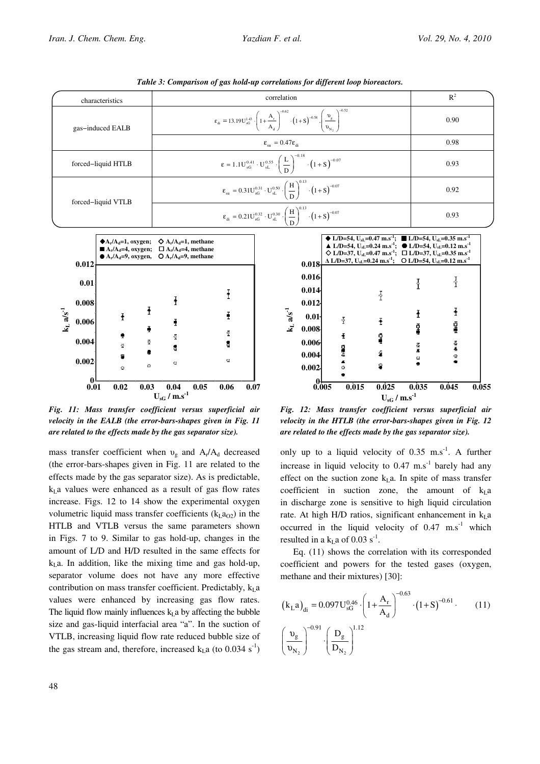|                         |                       | characteristics                                            |                                                                                                                                                                                                                                                            |             | correlation                                                                                                                                                                                                                                          |                                 |                                                                                                                                                                                                                                                                                                                                                                                                                                                                                                         |             | $R^2$               |
|-------------------------|-----------------------|------------------------------------------------------------|------------------------------------------------------------------------------------------------------------------------------------------------------------------------------------------------------------------------------------------------------------|-------------|------------------------------------------------------------------------------------------------------------------------------------------------------------------------------------------------------------------------------------------------------|---------------------------------|---------------------------------------------------------------------------------------------------------------------------------------------------------------------------------------------------------------------------------------------------------------------------------------------------------------------------------------------------------------------------------------------------------------------------------------------------------------------------------------------------------|-------------|---------------------|
|                         |                       | gas-induced EALB                                           |                                                                                                                                                                                                                                                            |             | $\epsilon_{\text{d}} = 13.19 \text{U}_{\text{sG}}^{1.43} \cdot \left(1 + \frac{\text{A}_{\text{r}}}{\text{A}_{\text{d}}} \right)^{-0.58} \cdot \left(1 + \text{S}\right)^{-0.58} \cdot \left(\frac{\text{v}_{\text{g}}}{\text{v}_{\text{N}}}\right)$ |                                 |                                                                                                                                                                                                                                                                                                                                                                                                                                                                                                         |             | 0.90                |
|                         |                       |                                                            | $\epsilon_{\rm su} = 0.47 \epsilon_{\rm di}$                                                                                                                                                                                                               |             |                                                                                                                                                                                                                                                      |                                 |                                                                                                                                                                                                                                                                                                                                                                                                                                                                                                         | 0.98        |                     |
| forced-liquid HTLB      |                       |                                                            | $\epsilon = 1.1U_{sG}^{0.41} \cdot U_{sL}^{0.55} \cdot \left(\frac{L}{D}\right)^{-0.18} \cdot \left(1 + S\right)^{-0.07}$                                                                                                                                  |             |                                                                                                                                                                                                                                                      | 0.93                            |                                                                                                                                                                                                                                                                                                                                                                                                                                                                                                         |             |                     |
|                         |                       | forced-liquid VTLB                                         | $\epsilon_{\rm su} = 0.31 U_{\rm sG}^{0.31} \cdot U_{\rm sL}^{0.50} \cdot \left(\frac{H}{D}\right)^{0.13} \cdot \left(1 + S\right)^{-0.07}$                                                                                                                |             |                                                                                                                                                                                                                                                      | 0.92                            |                                                                                                                                                                                                                                                                                                                                                                                                                                                                                                         |             |                     |
|                         |                       |                                                            | $\epsilon_{di} = 0.21U_{sG}^{0.32} \cdot U_{sL}^{0.30} \cdot \left(\frac{H}{D}\right)^{0.13} \cdot (1+S)^{-0.07}$                                                                                                                                          |             |                                                                                                                                                                                                                                                      |                                 | 0.93                                                                                                                                                                                                                                                                                                                                                                                                                                                                                                    |             |                     |
|                         | 0.012                 | $\blacklozenge$ A <sub>r</sub> /A <sub>d</sub> =1, oxygen; | $\Diamond A_r/A_d=1$ , methane<br>$\blacksquare$ A <sub>r</sub> /A <sub>d</sub> =4, oxygen; $\Box$ A <sub>r</sub> /A <sub>d</sub> =4, methane<br>$\bullet$ A <sub>r</sub> /A <sub>d</sub> =9, oxygen, $\bullet$ A <sub>r</sub> /A <sub>d</sub> =9, methane |             |                                                                                                                                                                                                                                                      |                                 | $\blacklozenge$ L/D=54, U <sub>sL</sub> =0.47 m.s <sup>-1</sup> ; L/D=54, U <sub>sL</sub> =0.35 m.s <sup>-1</sup><br>$\triangle$ L/D=54, U <sub>sL</sub> =0.24 m.s <sup>-1</sup> ; $\bigcirc$ L/D=54, U <sub>sL</sub> =0.12 m.s <sup>-1</sup><br>$\Diamond$ L/D=37, U <sub>sL</sub> =0.47 m.s <sup>-1</sup> ; $\Box$ L/D=37, U <sub>sL</sub> =0.35 m.s <sup>-1</sup><br>0.018 $\Delta$ L/D=37, U <sub>sL</sub> =0.24 m.s <sup>-1</sup> ; $\overline{O}$ L/D=54, U <sub>sL</sub> =0.12 m.s <sup>-1</sup> |             |                     |
|                         | 0.01<br>0.008         | Ŧ                                                          |                                                                                                                                                                                                                                                            | $\mathbf i$ |                                                                                                                                                                                                                                                      | 0.016<br>0.014<br>0.012         | $\frac{1}{1}$                                                                                                                                                                                                                                                                                                                                                                                                                                                                                           | î           | ∤<br>ł              |
| $k_L$ a/s <sup>-1</sup> | 0.006<br>0.004        | Ī<br>重要<br>š.                                              | Ī<br>$\bar{\mathcal{L}}$<br>ś                                                                                                                                                                                                                              | š<br>8      | $k_L a/s^{-1}$                                                                                                                                                                                                                                       | 0.01<br>0.008<br>0.006<br>0.004 | $\overline{1}$<br>$\ddot{\tau}$<br>ġ<br>€<br><b>De</b><br>ē                                                                                                                                                                                                                                                                                                                                                                                                                                             | į<br>조<br>후 | ₫,<br>$\frac{5}{4}$ |
|                         | 0.002<br>$\mathbf{r}$ | $\circ$<br>Ō                                               | $\circ$                                                                                                                                                                                                                                                    | Q           |                                                                                                                                                                                                                                                      | 0.002                           | ្ឌ<br>ö                                                                                                                                                                                                                                                                                                                                                                                                                                                                                                 | a           | ö                   |

Tahle 3: Comparison of gas hold-up correlations for different loop bioreactors.

Fig. 11: Mass transfer coefficient versus superficial air velocity in the EALB (the error-bars-shapes given in Fig. 11 are related to the effects made by the gas separator size).

 $0.01$ 

0.01 0.02 0.03 0.04 0.05 0.06 0.07  $\rm U_{sG}$  /  $\rm m.s^{-1}$ 

mass transfer coefficient when  $v_g$  and  $A_r/A_d$  decreased (the error-bars-shapes given in Fig. 11 are related to the effects made by the gas separator size). As is predictable,  $k<sub>L</sub>$  a values were enhanced as a result of gas flow rates increase. Figs. 12 to 14 show the experimental oxygen volumetric liquid mass transfer coefficients  $(k<sub>L</sub>a<sub>O2</sub>)$  in the HTLB and VTLB versus the same parameters shown in Figs. 7 to 9. Similar to gas hold-up, changes in the amount of L/D and H/D resulted in the same effects for  $k<sub>I</sub>$  a. In addition, like the mixing time and gas hold-up, separator volume does not have any more effective contribution on mass transfer coefficient. Predictably,  $k<sub>L</sub>$ a values were enhanced by increasing gas flow rates. The liquid flow mainly influences  $k<sub>L</sub>$  a by affecting the bubble size and gas-liquid interfacial area "a". In the suction of VTLB, increasing liquid flow rate reduced bubble size of the gas stream and, therefore, increased  $k<sub>I</sub>$  a (to 0.034 s<sup>-1</sup>)

Fig. 12: Mass transfer coefficient versus superficial air velocity in the HTLB (the error-bars-shapes given in Fig. 12 are related to the effects made by the gas separator size).

 $0.005$ 

0.005 0.015 0.025 0.035 0.045 0.055  $U_{\rm sG}$  /  $\rm m.s^{-1}$ 

only up to a liquid velocity of  $0.35 \text{ m.s}^{-1}$ . A further increase in liquid velocity to  $0.47 \text{ m.s}^{-1}$  barely had any effect on the suction zone  $k<sub>L</sub>a$ . In spite of mass transfer coefficient in suction zone, the amount of  $k_1a$ in discharge zone is sensitive to high liquid circulation rate. At high H/D ratios, significant enhancement in  $k_1a$ occurred in the liquid velocity of  $0.47$  m.s<sup>-1</sup> which resulted in a  $k<sub>L</sub>$ a of 0.03 s<sup>-1</sup>.

Eq. (11) shows the correlation with its corresponded coefficient and powers for the tested gases (oxygen, methane and their mixtures) [30]:

$$
(\mathbf{k}_{\mathrm{L}}\mathbf{a})_{\mathrm{di}} = 0.097\mathbf{U}_{\mathrm{sG}}^{0.46} \cdot \left(1 + \frac{\mathbf{A}_{\mathrm{r}}}{\mathbf{A}_{\mathrm{d}}}\right)^{-0.63} \cdot (1 + \mathbf{S})^{-0.61} \cdot (11)
$$

$$
\left(\frac{\mathbf{v}_{\mathrm{g}}}{\mathbf{v}_{\mathrm{N}_{2}}}\right)^{-0.91} \cdot \left(\frac{\mathbf{D}_{\mathrm{g}}}{\mathbf{D}_{\mathrm{N}_{2}}}\right)^{1.12}
$$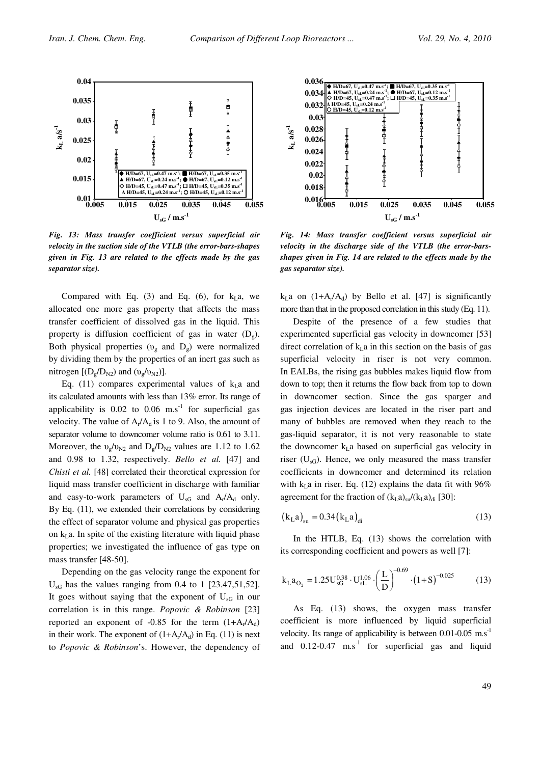

Fig. 13: Mass transfer coefficient versus superficial air velocity in the suction side of the VTLB (the error-bars-shapes given in Fig. 13 are related to the effects made by the gas separator size).

Compared with Eq.  $(3)$  and Eq.  $(6)$ , for  $k<sub>L</sub>a$ , we allocated one more gas property that affects the mass transfer coefficient of dissolved gas in the liquid. This property is diffusion coefficient of gas in water  $(D<sub>o</sub>)$ . Both physical properties ( $v_{\rm g}$  and  $D_{\rm g}$ ) were normalized by dividing them by the properties of an inert gas such as nitrogen  $[(D_g/D_{N2})$  and  $(v_g/v_{N2})]$ .

Eq. (11) compares experimental values of  $k<sub>L</sub>$  and its calculated amounts with less than 13% error. Its range of applicability is  $0.02$  to  $0.06$  m.s<sup>-1</sup> for superficial gas velocity. The value of  $A_r/A_d$  is 1 to 9. Also, the amount of separator volume to downcomer volume ratio is 0.61 to 3.11. Moreover, the  $v_p/v_{N2}$  and  $D_p/D_{N2}$  values are 1.12 to 1.62 and 0.98 to 1.32, respectively. Bello et al. [47] and Chisti et al. [48] correlated their theoretical expression for liquid mass transfer coefficient in discharge with familiar and easy-to-work parameters of  $U_{sG}$  and  $A_r/A_d$  only. By Eq. (11), we extended their correlations by considering the effect of separator volume and physical gas properties on  $k<sub>L</sub>$  a. In spite of the existing literature with liquid phase properties; we investigated the influence of gas type on mass transfer [48-50].

Depending on the gas velocity range the exponent for  $U_{\rm sG}$  has the values ranging from 0.4 to 1 [23.47,51,52]. It goes without saying that the exponent of  $U_{\rm sG}$  in our correlation is in this range. Popovic & Robinson [23] reported an exponent of  $-0.85$  for the term  $(1+A_r/A_d)$ in their work. The exponent of  $(1+A_r/A_d)$  in Eq. (11) is next to Popovic & Robinson's. However, the dependency of



Fig. 14: Mass transfer coefficient versus superficial air velocity in the discharge side of the VTLB (the error-barsshapes given in Fig. 14 are related to the effects made by the gas separator size).

 $k<sub>L</sub>a$  on  $(1+A<sub>r</sub>/A<sub>d</sub>)$  by Bello et al. [47] is significantly more than that in the proposed correlation in this study (Eq. 11).

Despite of the presence of a few studies that experimented superficial gas velocity in downcomer [53] direct correlation of  $k<sub>I</sub>$  a in this section on the basis of gas superficial velocity in riser is not very common. In EALBs, the rising gas bubbles makes liquid flow from down to top; then it returns the flow back from top to down in downcomer section. Since the gas sparger and gas injection devices are located in the riser part and many of bubbles are removed when they reach to the gas-liquid separator, it is not very reasonable to state the downcomer  $k<sub>L</sub>$  based on superficial gas velocity in riser  $(U_{sG})$ . Hence, we only measured the mass transfer coefficients in downcomer and determined its relation with  $k_1$  a in riser. Eq. (12) explains the data fit with 96% agreement for the fraction of  $(k<sub>L</sub>a)<sub>su</sub>/(k<sub>L</sub>a)<sub>di</sub>$  [30]:

$$
(kLa)su = 0.34 (kLa)di
$$
 (13)

In the HTLB, Eq. (13) shows the correlation with its corresponding coefficient and powers as well [7]:

$$
k_{L}a_{O_2} = 1.25U_{sG}^{0.38} \cdot U_{sL}^{1.06} \cdot \left(\frac{L}{D}\right)^{-0.69} \cdot \left(1+S\right)^{-0.025}
$$
 (13)

As Eq. (13) shows, the oxygen mass transfer coefficient is more influenced by liquid superficial velocity. Its range of applicability is between  $0.01$ - $0.05$  m.s<sup>-1</sup> and  $0.12$ -0.47 m.s<sup>-1</sup> for superficial gas and liquid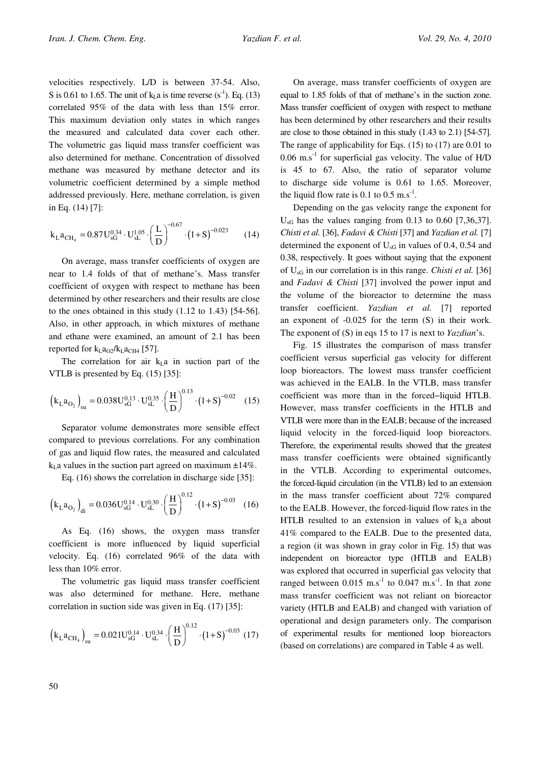velocities respectively. L/D is between 37-54. Also, S is 0.61 to 1.65. The unit of  $k<sub>L</sub>$  a is time reverse (s<sup>-1</sup>). Eq. (13) correlated 95% of the data with less than 15% error. This maximum deviation only states in which ranges the measured and calculated data cover each other. The volumetric gas liquid mass transfer coefficient was also determined for methane. Concentration of dissolved methane was measured by methane detector and its volumetric coefficient determined by a simple method addressed previously. Here, methane correlation, is given in Eq. (14) [7]:

$$
k_{L}a_{CH_4} = 0.87U_{sG}^{0.34} \cdot U_{sL}^{1.05} \cdot \left(\frac{L}{D}\right)^{-0.67} \cdot \left(1+S\right)^{-0.023} \tag{14}
$$

On average, mass transfer coefficients of oxygen are near to 1.4 folds of that of methane's. Mass transfer coefficient of oxygen with respect to methane has been determined by other researchers and their results are close to the ones obtained in this study (1.12 to 1.43) [54-56]. Also, in other approach, in which mixtures of methane and ethane were examined, an amount of 2.1 has been reported for  $k_{L}a_{Q2}/k_{L}a_{CH4}$  [57].

The correlation for air  $k<sub>L</sub>a$  in suction part of the VTLB is presented by Eq. (15) [35]:

$$
\left(k_{\text{L}}a_{\text{O}_2}\right)_{\text{su}} = 0.038 \text{U}_{\text{sG}}^{0.13} \cdot \text{U}_{\text{sL}}^{0.35} \cdot \left(\frac{\text{H}}{\text{D}}\right)^{0.13} \cdot \left(1+\text{S}\right)^{-0.02} \tag{15}
$$

Separator volume demonstrates more sensible effect compared to previous correlations. For any combination of gas and liquid flow rates, the measured and calculated  $k<sub>L</sub>$  a values in the suction part agreed on maximum  $\pm 14\%$ .

Eq. (16) shows the correlation in discharge side [35]:

$$
\left(k_{\text{L}}a_{\text{O}_2}\right)_{\text{di}} = 0.036\text{U}_{\text{sG}}^{0.14} \cdot \text{U}_{\text{sL}}^{0.30} \cdot \left(\frac{\text{H}}{\text{D}}\right)^{0.12} \cdot \left(1+\text{S}\right)^{-0.03} \tag{16}
$$

As Eq. (16) shows, the oxygen mass transfer coefficient is more influenced by liquid superficial velocity. Eq. (16) correlated 96% of the data with less than 10% error.

The volumetric gas liquid mass transfer coefficient was also determined for methane. Here, methane correlation in suction side was given in Eq. (17) [35]:

$$
\left(k_{\mathrm{L}}a_{\mathrm{CH}_4}\right)_{su}=0.021U_{sG}^{0.14}\cdot U_{sL}^{0.34}\cdot\left(\frac{H}{D}\right)^{0.12}\cdot\left(1\!+\!S\right)^{-0.03}\,\left(17\right)
$$

On average, mass transfer coefficients of oxygen are equal to 1.85 folds of that of methane's in the suction zone. Mass transfer coefficient of oxygen with respect to methane has been determined by other researchers and their results are close to those obtained in this study (1.43 to 2.1) [54-57]. The range of applicability for Eqs. (15) to (17) are 0.01 to  $0.06$  m.s<sup>-1</sup> for superficial gas velocity. The value of H/D is 45 to 67. Also, the ratio of separator volume to discharge side volume is 0.61 to 1.65. Moreover, the liquid flow rate is 0.1 to 0.5 m.s<sup>-1</sup>.

Depending on the gas velocity range the exponent for  $U_{\rm sG}$  has the values ranging from 0.13 to 0.60 [7,36,37]. Chisti et al. [36], Fadavi & Chisti [37] and Yazdian et al. [7] determined the exponent of  $U_{\rm sG}$  in values of 0.4, 0.54 and 0.38, respectively. It goes without saying that the exponent of  $U_{\rm sG}$  in our correlation is in this range. *Chisti et al.* [36] and Fadavi & Chisti [37] involved the power input and the volume of the bioreactor to determine the mass transfer coefficient. Yazdian et al. [7] reported an exponent of -0.025 for the term (S) in their work. The exponent of (S) in eqs 15 to 17 is next to *Yazdian's*.

Fig. 15 illustrates the comparison of mass transfer coefficient versus superficial gas velocity for different loop bioreactors. The lowest mass transfer coefficient was achieved in the EALB. In the VTLB, mass transfer coefficient was more than in the forced−liquid HTLB. However, mass transfer coefficients in the HTLB and VTLB were more than in the EALB; because of the increased liquid velocity in the forced-liquid loop bioreactors. Therefore, the experimental results showed that the greatest mass transfer coefficients were obtained significantly in the VTLB. According to experimental outcomes, the forced-liquid circulation (in the VTLB) led to an extension in the mass transfer coefficient about 72% compared to the EALB. However, the forced-liquid flow rates in the HTLB resulted to an extension in values of  $k<sub>L</sub>$ a about 41% compared to the EALB. Due to the presented data, a region (it was shown in gray color in Fig. 15) that was independent on bioreactor type (HTLB and EALB) was explored that occurred in superficial gas velocity that ranged between  $0.015$  m.s<sup>-1</sup> to  $0.047$  m.s<sup>-1</sup>. In that zone mass transfer coefficient was not reliant on bioreactor variety (HTLB and EALB) and changed with variation of operational and design parameters only. The comparison of experimental results for mentioned loop bioreactors (based on correlations) are compared in Table 4 as well.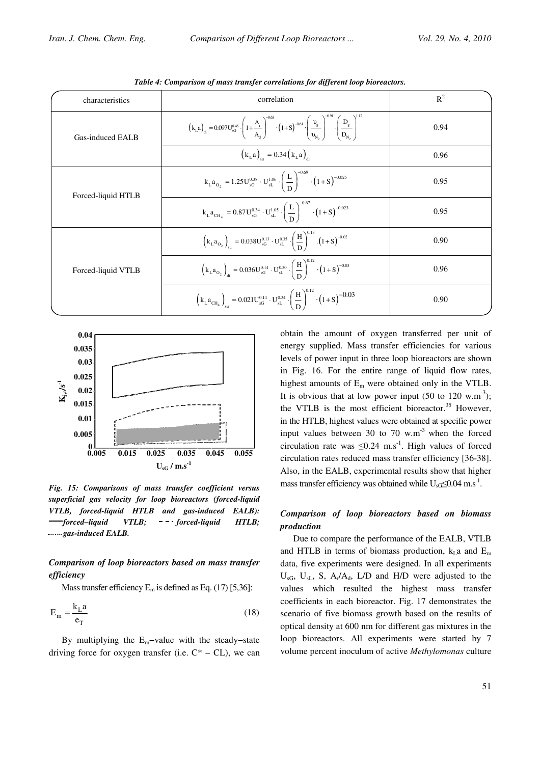| characteristics    | correlation                                                                                                                                                                                                                                    | $R^2$ |
|--------------------|------------------------------------------------------------------------------------------------------------------------------------------------------------------------------------------------------------------------------------------------|-------|
| Gas-induced EALB   | $\left(k_{\rm L}a\right)_{\rm d} = 0.097U_{\rm sG}^{0.46} \cdot \left(1+\frac{A_{\rm r}}{A_{\rm r}}\right)^{3.5} \cdot \left(1+S\right)^{-0.61} \cdot \left(\frac{D_{\rm g}}{D_{\rm r}}\right) \cdot \left(\frac{D_{\rm g}}{D_{\rm r}}\right)$ | 0.94  |
|                    | $(k_{\rm L}a)$ = 0.34 $(k_{\rm L}a)$ .                                                                                                                                                                                                         | 0.96  |
| Forced-liquid HTLB | $k_{L}a_{O_2} = 1.25U_{sG}^{0.38} \cdot U_{sL}^{1.06} \cdot \left(\frac{L}{D}\right)^{-0.69} \cdot \left(1+S\right)^{-0.025}$                                                                                                                  | 0.95  |
|                    | $k_{L}a_{CH_4} = 0.87U_{sG}^{0.34} \cdot U_{sL}^{1.05} \cdot \left(\frac{L}{R}\right)^{-0.67} \cdot \left(1+S\right)^{-0.023}$                                                                                                                 | 0.95  |
|                    | $\left(k_{\text{L}}a_{\text{O}_2}\right)_{\text{eq}} = 0.038\text{U}_{\text{SG}}^{0.13} \cdot \text{U}_{\text{SL}}^{0.35} \cdot \left(\frac{\text{H}}{\text{R}}\right)^{0.13} \cdot \left(1+\text{S}\right)^{-0.02}$                           | 0.90  |
| Forced-liquid VTLB | $\left(k_{\text{L}}a_{\text{O}_2}\right)_{\text{di}} = 0.036U_{\text{SG}}^{0.14} \cdot U_{\text{sl}}^{0.30} \cdot \left(\frac{H}{R}\right)^{0.12} \cdot \left(1+S\right)^{-0.03}$                                                              | 0.96  |
|                    | $\left(k_{\text{L}}a_{\text{CH}_4}\right)_{\text{su}}=0.021U_{\text{sG}}^{0.14}\cdot U_{\text{sL}}^{0.34}\cdot\left(\frac{H}{D}\right)^{0.12}\cdot\left(1+S\right)^{-0.03}$                                                                    | 0.90  |

Table 4: Comparison of mass transfer correlations for different loop bioreactors.



Fig. 15: Comparisons of mass transfer coefficient versus superficial gas velocity for loop bioreactors (forced-liquid VTLB, forced-liquid HTLB and gas-induced EALB):  $\rightarrow$  forced–liquid VTLB; - - · forced-liquid HTLB; ........ gas-induced EALB.

# Comparison of loop bioreactors based on mass transfer efficiency

Mass transfer efficiency  $E_m$  is defined as Eq. (17) [5,36]:

$$
E_m = \frac{k_L a}{e_T} \tag{18}
$$

By multiplying the  $E_m$ -value with the steady-state driving force for oxygen transfer (i.e.  $C^* - CL$ ), we can obtain the amount of oxygen transferred per unit of energy supplied. Mass transfer efficiencies for various levels of power input in three loop bioreactors are shown in Fig. 16. For the entire range of liquid flow rates, highest amounts of  $E_m$  were obtained only in the VTLB. It is obvious that at low power input  $(50 \text{ to } 120 \text{ w.m}^{-3})$ ; the VTLB is the most efficient bioreactor.<sup>35</sup> However, in the HTLB, highest values were obtained at specific power input values between 30 to 70  $\mu$ m<sup>-3</sup> when the forced circulation rate was  $\leq 0.24$  m.s<sup>-1</sup>. High values of forced circulation rates reduced mass transfer efficiency [36-38]. Also, in the EALB, experimental results show that higher mass transfer efficiency was obtained while  $U_{\rm sG} \leq 0.04 \text{ m.s}^{-1}$ .

# Comparison of loop bioreactors based on biomass production

Due to compare the performance of the EALB, VTLB and HTLB in terms of biomass production,  $k_1$  and  $E_m$ data, five experiments were designed. In all experiments  $U_{\rm sG}$ ,  $U_{\rm sL}$ , S, A<sub>r</sub>/A<sub>d</sub>, L/D and H/D were adjusted to the values which resulted the highest mass transfer coefficients in each bioreactor. Fig. 17 demonstrates the scenario of five biomass growth based on the results of optical density at 600 nm for different gas mixtures in the loop bioreactors. All experiments were started by 7 volume percent inoculum of active Methylomonas culture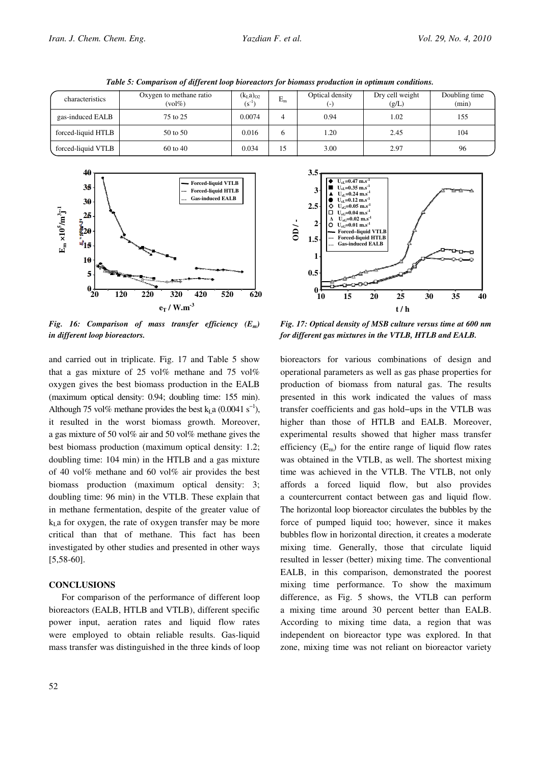| characteristics    | Oxygen to methane ratio<br>$\left(\text{vol}\% \right)$ | $(k_{L}a)_{02}$<br>$(S^{-1})$ | $E_m$ | Optical density<br>$\overline{ }$ | Dry cell weight<br>(g/L) | Doubling time<br>(min) |
|--------------------|---------------------------------------------------------|-------------------------------|-------|-----------------------------------|--------------------------|------------------------|
| gas-induced EALB   | 75 to 25                                                | 0.0074                        |       | 0.94                              | 1.02                     | 155                    |
| forced-liquid HTLB | 50 to 50                                                | 0.016                         |       | 1.20                              | 2.45                     | 104                    |
| forced-liquid VTLB | $60 \text{ to } 40$                                     | 0.034                         | 15    | 3.00                              | 2.97                     | 96                     |

Table 5: Comparison of different loop bioreactors for biomass production in optimum conditions.



Fig. 16: Comparison of mass transfer efficiency  $(E_m)$ in different loop bioreactors.

and carried out in triplicate. Fig. 17 and Table 5 show that a gas mixture of 25 vol% methane and 75 vol% oxygen gives the best biomass production in the EALB (maximum optical density: 0.94; doubling time: 155 min). Although 75 vol% methane provides the best k<sub>La</sub> (0.0041 s<sup>-1</sup>), it resulted in the worst biomass growth. Moreover, a gas mixture of 50 vol% air and 50 vol% methane gives the best biomass production (maximum optical density: 1.2; doubling time: 104 min) in the HTLB and a gas mixture of 40 vol% methane and 60 vol% air provides the best biomass production (maximum optical density: 3; doubling time: 96 min) in the VTLB. These explain that in methane fermentation, despite of the greater value of  $k_1$  a for oxygen, the rate of oxygen transfer may be more critical than that of methane. This fact has been investigated by other studies and presented in other ways  $[5,58-60]$ .

## **CONCLUSIONS**

For comparison of the performance of different loop bioreactors (EALB, HTLB and VTLB), different specific power input, aeration rates and liquid flow rates were employed to obtain reliable results. Gas-liquid mass transfer was distinguished in the three kinds of loop



Fig. 17: Optical density of MSB culture versus time at 600 nm for different gas mixtures in the VTLB, HTLB and EALB.

bioreactors for various combinations of design and operational parameters as well as gas phase properties for production of biomass from natural gas. The results presented in this work indicated the values of mass transfer coefficients and gas hold−ups in the VTLB was higher than those of HTLB and EALB. Moreover, experimental results showed that higher mass transfer efficiency  $(E_m)$  for the entire range of liquid flow rates was obtained in the VTLB, as well. The shortest mixing time was achieved in the VTLB. The VTLB, not only affords a forced liquid flow, but also provides a countercurrent contact between gas and liquid flow. The horizontal loop bioreactor circulates the bubbles by the force of pumped liquid too; however, since it makes bubbles flow in horizontal direction, it creates a moderate mixing time. Generally, those that circulate liquid resulted in lesser (better) mixing time. The conventional EALB, in this comparison, demonstrated the poorest mixing time performance. To show the maximum difference, as Fig. 5 shows, the VTLB can perform a mixing time around 30 percent better than EALB. According to mixing time data, a region that was independent on bioreactor type was explored. In that zone, mixing time was not reliant on bioreactor variety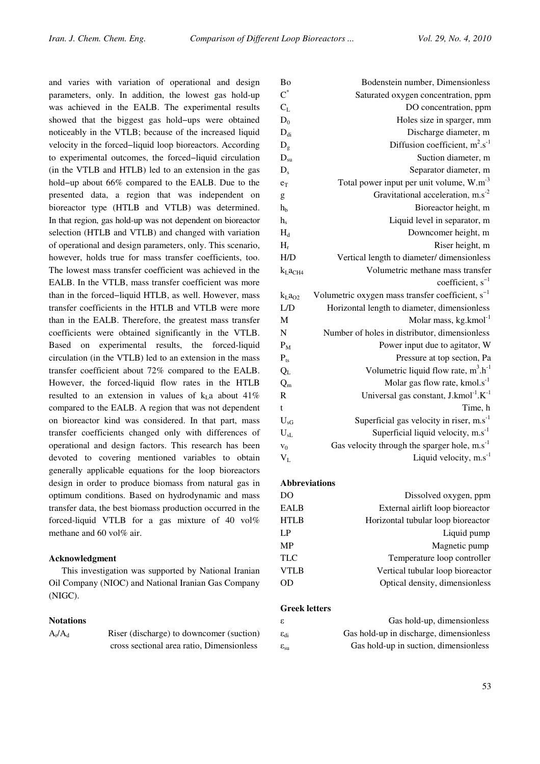and varies with variation of operational and design parameters, only. In addition, the lowest gas hold-up was achieved in the EALB. The experimental results showed that the biggest gas hold−ups were obtained noticeably in the VTLB; because of the increased liquid velocity in the forced−liquid loop bioreactors. According to experimental outcomes, the forced−liquid circulation (in the VTLB and HTLB) led to an extension in the gas hold−up about 66% compared to the EALB. Due to the presented data, a region that was independent on bioreactor type (HTLB and VTLB) was determined. In that region, gas hold-up was not dependent on bioreactor selection (HTLB and VTLB) and changed with variation of operational and design parameters, only. This scenario, however, holds true for mass transfer coefficients, too. The lowest mass transfer coefficient was achieved in the EALB. In the VTLB, mass transfer coefficient was more than in the forced−liquid HTLB, as well. However, mass transfer coefficients in the HTLB and VTLB were more than in the EALB. Therefore, the greatest mass transfer coefficients were obtained significantly in the VTLB. Based on experimental results, the forced-liquid circulation (in the VTLB) led to an extension in the mass transfer coefficient about 72% compared to the EALB. However, the forced-liquid flow rates in the HTLB resulted to an extension in values of  $k<sub>L</sub>a$  about 41% compared to the EALB. A region that was not dependent on bioreactor kind was considered. In that part, mass transfer coefficients changed only with differences of operational and design factors. This research has been devoted to covering mentioned variables to obtain generally applicable equations for the loop bioreactors design in order to produce biomass from natural gas in optimum conditions. Based on hydrodynamic and mass transfer data, the best biomass production occurred in the forced-liquid VTLB for a gas mixture of 40 vol% methane and 60 vol% air.

## Acknowledgment

This investigation was supported by National Iranian Oil Company (NIOC) and National Iranian Gas Company (NIGC).

#### **Notations**

Riser (discharge) to downcomer (suction) cross sectional area ratio, Dimensionless

| Bo                              | Bodenstein number, Dimensionless                              |
|---------------------------------|---------------------------------------------------------------|
| $C^*$                           | Saturated oxygen concentration, ppm                           |
| $C_{L}$                         | DO concentration, ppm                                         |
| $D_0$                           | Holes size in sparger, mm                                     |
| $D_{di}$                        | Discharge diameter, m                                         |
| $D_g$                           | Diffusion coefficient, $m^2 \cdot s^{-1}$                     |
| $D_{su}$                        | Suction diameter, m                                           |
| $D_{s}$                         | Separator diameter, m                                         |
| $e_T$                           | Total power input per unit volume, W.m <sup>-3</sup>          |
| g                               | Gravitational acceleration, $ms^{-2}$                         |
| hh                              | Bioreactor height, m                                          |
| h <sub>s</sub>                  | Liquid level in separator, m                                  |
| $H_d$                           | Downcomer height, m                                           |
| $H_r$                           | Riser height, m                                               |
| H/D                             | Vertical length to diameter/dimensionless                     |
| k <sub>L</sub> a <sub>CH4</sub> | Volumetric methane mass transfer                              |
|                                 |                                                               |
|                                 | coefficient, $s^{-1}$                                         |
| k <sub>L</sub> a <sub>O2</sub>  | Volumetric oxygen mass transfer coefficient, s <sup>-1</sup>  |
| L/D                             | Horizontal length to diameter, dimensionless                  |
| M                               | Molar mass, kg.kmol <sup>-1</sup>                             |
| N                               | Number of holes in distributor, dimensionless                 |
| $P_M$                           | Power input due to agitator, W                                |
| $P_{ts}$                        | Pressure at top section, Pa                                   |
| $Q_{L}$                         | Volumetric liquid flow rate, $m^3.h^{-1}$                     |
| $Q_m$                           | Molar gas flow rate, kmol.s <sup>-1</sup>                     |
| $\overline{R}$                  | Universal gas constant, J.kmol <sup>-1</sup> .K <sup>-1</sup> |
| t                               | Time, h                                                       |
| $U_{\rm sG}$                    | Superficial gas velocity in riser, $m.s^{-1}$                 |
| $U_{sL}$                        | Superficial liquid velocity, $m.s^{-1}$                       |
| V <sub>0</sub>                  | Gas velocity through the sparger hole, $m.s^{-1}$             |
| $V_{L}$                         | Liquid velocity, m.s <sup>-1</sup>                            |

### Abbreviations

| D <sub>O</sub> | Dissolved oxygen, ppm              |
|----------------|------------------------------------|
| <b>EALB</b>    | External airlift loop bioreactor   |
| <b>HTLB</b>    | Horizontal tubular loop bioreactor |
| LP             | Liquid pump                        |
| <b>MP</b>      | Magnetic pump                      |
| <b>TLC</b>     | Temperature loop controller        |
| <b>VTLB</b>    | Vertical tubular loop bioreactor   |
| <b>OD</b>      | Optical density, dimensionless     |
|                |                                    |

## Greek letters

| ε.                  | Gas hold-up, dimensionless              |
|---------------------|-----------------------------------------|
| $\epsilon_{\rm di}$ | Gas hold-up in discharge, dimensionless |
| $\epsilon_{\rm su}$ | Gas hold-up in suction, dimensionless   |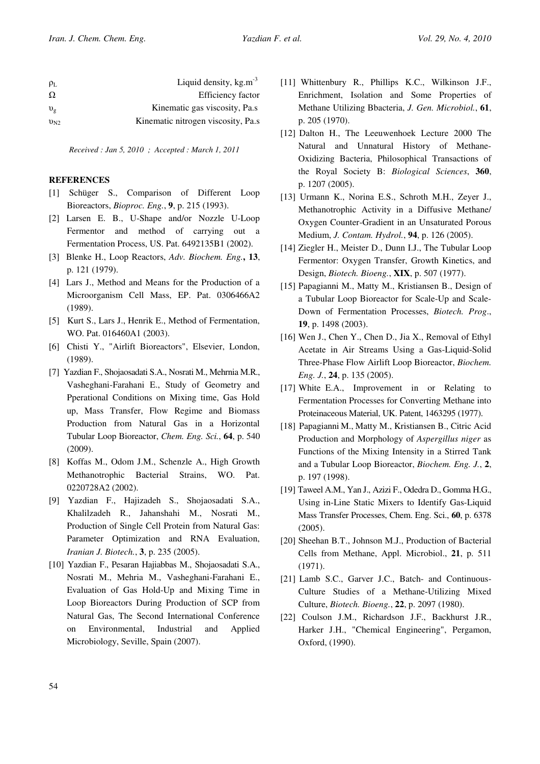| $\rho_L$    | Liquid density, $kg.m^{-3}$        |
|-------------|------------------------------------|
| $\Omega$    | Efficiency factor                  |
| $v_{\rm g}$ | Kinematic gas viscosity, Pa.s.     |
| $v_{N2}$    | Kinematic nitrogen viscosity, Pa.s |

Received : Jan 5, 2010 ; Accepted : March 1, 2011

## **REFERENCES**

- [1] Schüger S., Comparison of Different Loop Bioreactors, Bioproc. Eng., 9, p. 215 (1993).
- [2] Larsen E. B., U-Shape and/or Nozzle U-Loop Fermentor and method of carrying out a Fermentation Process, US. Pat. 6492135B1 (2002).
- [3] Blenke H., Loop Reactors, Adv. Biochem. Eng., 13, p. 121 (1979).
- [4] Lars J., Method and Means for the Production of a Microorganism Cell Mass, EP. Pat. 0306466A2 (1989).
- [5] Kurt S., Lars J., Henrik E., Method of Fermentation, WO. Pat. 016460A1 (2003).
- [6] Chisti Y., "Airlift Bioreactors", Elsevier, London, (1989).
- [7] Yazdian F., Shojaosadati S.A., Nosrati M., Mehrnia M.R., Vasheghani-Farahani E., Study of Geometry and Pperational Conditions on Mixing time, Gas Hold up, Mass Transfer, Flow Regime and Biomass Production from Natural Gas in a Horizontal Tubular Loop Bioreactor, Chem. Eng. Sci., 64, p. 540 (2009).
- [8] Koffas M., Odom J.M., Schenzle A., High Growth Methanotrophic Bacterial Strains, WO. Pat. 0220728A2 (2002).
- [9] Yazdian F., Hajizadeh S., Shojaosadati S.A., Khalilzadeh R., Jahanshahi M., Nosrati M., Production of Single Cell Protein from Natural Gas: Parameter Optimization and RNA Evaluation, Iranian J. Biotech., 3, p. 235 (2005).
- [10] Yazdian F., Pesaran Hajiabbas M., Shojaosadati S.A., Nosrati M., Mehria M., Vasheghani-Farahani E., Evaluation of Gas Hold-Up and Mixing Time in Loop Bioreactors During Production of SCP from Natural Gas, The Second International Conference on Environmental, Industrial and Applied Microbiology, Seville, Spain (2007).
- [11] Whittenbury R., Phillips K.C., Wilkinson J.F., Enrichment, Isolation and Some Properties of Methane Utilizing Bbacteria, J. Gen. Microbiol., 61, p. 205 (1970).
- [12] Dalton H., The Leeuwenhoek Lecture 2000 The Natural and Unnatural History of Methane-Oxidizing Bacteria, Philosophical Transactions of the Royal Society B: Biological Sciences, 360, p. 1207 (2005).
- [13] Urmann K., Norina E.S., Schroth M.H., Zeyer J., Methanotrophic Activity in a Diffusive Methane/ Oxygen Counter-Gradient in an Unsaturated Porous Medium, J. Contam. Hydrol., 94, p. 126 (2005).
- [14] Ziegler H., Meister D., Dunn I.J., The Tubular Loop Fermentor: Oxygen Transfer, Growth Kinetics, and Design, Biotech. Bioeng., XIX, p. 507 (1977).
- [15] Papagianni M., Matty M., Kristiansen B., Design of a Tubular Loop Bioreactor for Scale-Up and Scale-Down of Fermentation Processes, Biotech. Prog., 19, p. 1498 (2003).
- [16] Wen J., Chen Y., Chen D., Jia X., Removal of Ethyl Acetate in Air Streams Using a Gas-Liquid-Solid Three-Phase Flow Airlift Loop Bioreactor, Biochem. Eng. J., 24, p. 135 (2005).
- [17] White E.A., Improvement in or Relating to Fermentation Processes for Converting Methane into Proteinaceous Material, UK. Patent, 1463295 (1977).
- [18] Papagianni M., Matty M., Kristiansen B., Citric Acid Production and Morphology of Aspergillus niger as Functions of the Mixing Intensity in a Stirred Tank and a Tubular Loop Bioreactor, Biochem. Eng. J., 2, p. 197 (1998).
- [19] Taweel A.M., Yan J., Azizi F., Odedra D., Gomma H.G., Using in-Line Static Mixers to Identify Gas-Liquid Mass Transfer Processes, Chem. Eng. Sci., 60, p. 6378 (2005).
- [20] Sheehan B.T., Johnson M.J., Production of Bacterial Cells from Methane, Appl. Microbiol., 21, p. 511 (1971).
- [21] Lamb S.C., Garver J.C., Batch- and Continuous-Culture Studies of a Methane-Utilizing Mixed Culture, Biotech. Bioeng., 22, p. 2097 (1980).
- [22] Coulson J.M., Richardson J.F., Backhurst J.R., Harker J.H., "Chemical Engineering", Pergamon, Oxford, (1990).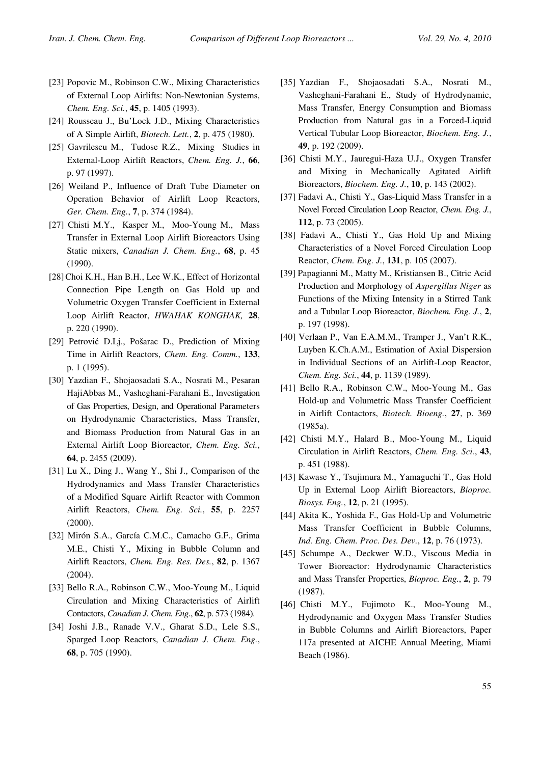- [23] Popovic M., Robinson C.W., Mixing Characteristics of External Loop Airlifts: Non-Newtonian Systems, Chem. Eng. Sci., 45, p. 1405 (1993).
- [24] Rousseau J., Bu'Lock J.D., Mixing Characteristics of A Simple Airlift, Biotech. Lett., 2, p. 475 (1980).
- [25] Gavrilescu M., Tudose R.Z., Mixing Studies in External-Loop Airlift Reactors, Chem. Eng. J., 66, p. 97 (1997).
- [26] Weiland P., Influence of Draft Tube Diameter on Operation Behavior of Airlift Loop Reactors, Ger. Chem. Eng., 7, p. 374 (1984).
- [27] Chisti M.Y., Kasper M., Moo-Young M., Mass Transfer in External Loop Airlift Bioreactors Using Static mixers, Canadian J. Chem. Eng., 68, p. 45 (1990).
- [28]Choi K.H., Han B.H., Lee W.K., Effect of Horizontal Connection Pipe Length on Gas Hold up and Volumetric Oxygen Transfer Coefficient in External Loop Airlift Reactor, HWAHAK KONGHAK, 28, p. 220 (1990).
- [29] Petrovi D.Lj., Pošarac D., Prediction of Mixing Time in Airlift Reactors, Chem. Eng. Comm., 133, p. 1 (1995).
- [30] Yazdian F., Shojaosadati S.A., Nosrati M., Pesaran HajiAbbas M., Vasheghani-Farahani E., Investigation of Gas Properties, Design, and Operational Parameters on Hydrodynamic Characteristics, Mass Transfer, and Biomass Production from Natural Gas in an External Airlift Loop Bioreactor, Chem. Eng. Sci., 64, p. 2455 (2009).
- [31] Lu X., Ding J., Wang Y., Shi J., Comparison of the Hydrodynamics and Mass Transfer Characteristics of a Modified Square Airlift Reactor with Common Airlift Reactors, Chem. Eng. Sci., 55, p. 2257 (2000).
- [32] Mirón S.A., García C.M.C., Camacho G.F., Grima M.E., Chisti Y., Mixing in Bubble Column and Airlift Reactors, Chem. Eng. Res. Des., 82, p. 1367 (2004).
- [33] Bello R.A., Robinson C.W., Moo-Young M., Liquid Circulation and Mixing Characteristics of Airlift Contactors, Canadian J. Chem. Eng., 62, p. 573 (1984).
- [34] Joshi J.B., Ranade V.V., Gharat S.D., Lele S.S., Sparged Loop Reactors, Canadian J. Chem. Eng., 68, p. 705 (1990).
- [35] Yazdian F., Shojaosadati S.A., Nosrati M., Vasheghani-Farahani E., Study of Hydrodynamic, Mass Transfer, Energy Consumption and Biomass Production from Natural gas in a Forced-Liquid Vertical Tubular Loop Bioreactor, Biochem. Eng. J., 49, p. 192 (2009).
- [36] Chisti M.Y., Jauregui-Haza U.J., Oxygen Transfer and Mixing in Mechanically Agitated Airlift Bioreactors, Biochem. Eng. J., 10, p. 143 (2002).
- [37] Fadavi A., Chisti Y., Gas-Liquid Mass Transfer in a Novel Forced Circulation Loop Reactor, Chem. Eng. J., 112, p. 73 (2005)
- [38] Fadavi A., Chisti Y., Gas Hold Up and Mixing Characteristics of a Novel Forced Circulation Loop Reactor, Chem. Eng. J., 131, p. 105 (2007).
- [39] Papagianni M., Matty M., Kristiansen B., Citric Acid Production and Morphology of Aspergillus Niger as Functions of the Mixing Intensity in a Stirred Tank and a Tubular Loop Bioreactor, Biochem. Eng. J., 2, p. 197 (1998).
- [40] Verlaan P., Van E.A.M.M., Tramper J., Van't R.K., Luyben K.Ch.A.M., Estimation of Axial Dispersion in Individual Sections of an Airlift-Loop Reactor, Chem. Eng. Sci., 44, p. 1139 (1989).
- [41] Bello R.A., Robinson C.W., Moo-Young M., Gas Hold-up and Volumetric Mass Transfer Coefficient in Airlift Contactors, Biotech. Bioeng., 27, p. 369 (1985a).
- [42] Chisti M.Y., Halard B., Moo-Young M., Liquid Circulation in Airlift Reactors, Chem. Eng. Sci., 43, p. 451 (1988).
- [43] Kawase Y., Tsujimura M., Yamaguchi T., Gas Hold Up in External Loop Airlift Bioreactors, Bioproc. Biosys. Eng., 12, p. 21 (1995).
- [44] Akita K., Yoshida F., Gas Hold-Up and Volumetric Mass Transfer Coefficient in Bubble Columns, Ind. Eng. Chem. Proc. Des. Dev., 12, p. 76 (1973).
- [45] Schumpe A., Deckwer W.D., Viscous Media in Tower Bioreactor: Hydrodynamic Characteristics and Mass Transfer Properties, Bioproc. Eng., 2, p. 79 (1987).
- [46] Chisti M.Y., Fujimoto K., Moo-Young M., Hydrodynamic and Oxygen Mass Transfer Studies in Bubble Columns and Airlift Bioreactors, Paper 117a presented at AICHE Annual Meeting, Miami Beach (1986).